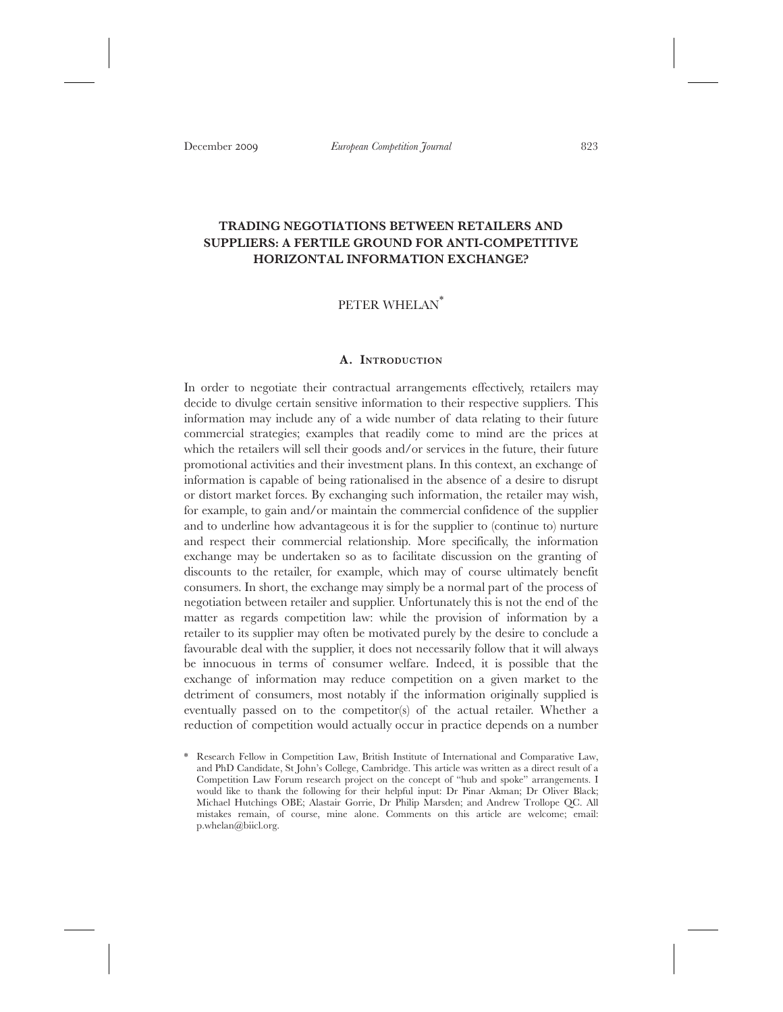## **TRADING NEGOTIATIONS BETWEEN RETAILERS AND** SUPPLIERS: A FERTILE GROUND FOR ANTI-COMPETITIVE **HORIZONTAL INFORMATION EXCHANGE?**

# PETER WHELAN<sup>\*</sup>

### A. INTRODUCTION

In order to negotiate their contractual arrangements effectively, retailers may decide to divulge certain sensitive information to their respective suppliers. This information may include any of a wide number of data relating to their future commercial strategies; examples that readily come to mind are the prices at which the retailers will sell their goods and/or services in the future, their future promotional activities and their investment plans. In this context, an exchange of information is capable of being rationalised in the absence of a desire to disrupt or distort market forces. By exchanging such information, the retailer may wish, for example, to gain and/or maintain the commercial confidence of the supplier and to underline how advantageous it is for the supplier to (continue to) nurture and respect their commercial relationship. More specifically, the information exchange may be undertaken so as to facilitate discussion on the granting of discounts to the retailer, for example, which may of course ultimately benefit consumers. In short, the exchange may simply be a normal part of the process of negotiation between retailer and supplier. Unfortunately this is not the end of the matter as regards competition law: while the provision of information by a retailer to its supplier may often be motivated purely by the desire to conclude a favourable deal with the supplier, it does not necessarily follow that it will always be innocuous in terms of consumer welfare. Indeed, it is possible that the exchange of information may reduce competition on a given market to the detriment of consumers, most notably if the information originally supplied is eventually passed on to the competitor(s) of the actual retailer. Whether a reduction of competition would actually occur in practice depends on a number

<sup>\*</sup> Research Fellow in Competition Law, British Institute of International and Comparative Law, and PhD Candidate, St John's College, Cambridge. This article was written as a direct result of a Competition Law Forum research project on the concept of "hub and spoke" arrangements. I would like to thank the following for their helpful input: Dr Pinar Akman; Dr Oliver Black; Michael Hutchings OBE; Alastair Gorrie, Dr Philip Marsden; and Andrew Trollope QC. All mistakes remain, of course, mine alone. Comments on this article are welcome; email: p.whelan@biicl.org.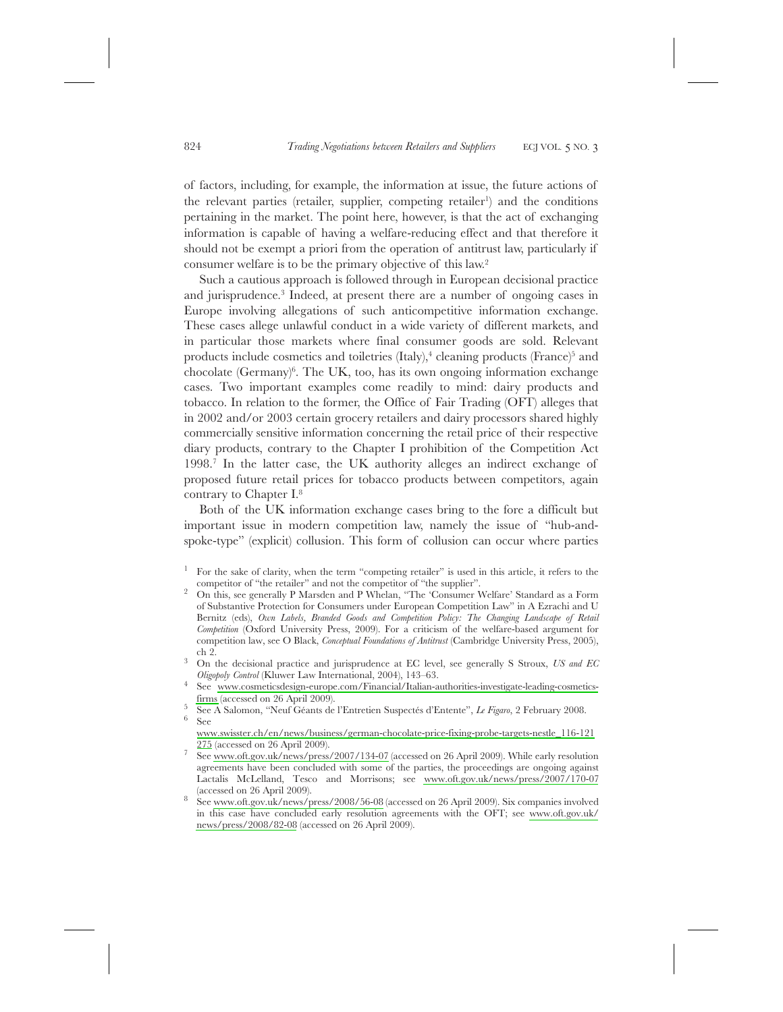of factors, including, for example, the information at issue, the future actions of the relevant parties (retailer, supplier, competing retailer<sup>1</sup>) and the conditions pertaining in the market. The point here, however, is that the act of exchanging information is capable of having a welfare-reducing effect and that therefore it should not be exempt a priori from the operation of antitrust law, particularly if consumer welfare is to be the primary objective of this law.<sup>2</sup>

Such a cautious approach is followed through in European decisional practice and jurisprudence.<sup>3</sup> Indeed, at present there are a number of ongoing cases in Europe involving allegations of such anticompetitive information exchange. These cases allege unlawful conduct in a wide variety of different markets, and in particular those markets where final consumer goods are sold. Relevant products include cosmetics and toiletries (Italy),<sup>4</sup> cleaning products (France)<sup>5</sup> and chocolate (Germany)<sup> $6$ </sup>. The UK, too, has its own ongoing information exchange cases. Two important examples come readily to mind: dairy products and tobacco. In relation to the former, the Office of Fair Trading (OFT) alleges that in 2002 and/or 2003 certain grocery retailers and dairy processors shared highly commercially sensitive information concerning the retail price of their respective diary products, contrary to the Chapter I prohibition of the Competition Act 1998.7 In the latter case, the UK authority alleges an indirect exchange of proposed future retail prices for tobacco products between competitors, again contrary to Chapter I.<sup>8</sup>

Both of the UK information exchange cases bring to the fore a difficult but important issue in modern competition law, namely the issue of "hub-andspoke-type" (explicit) collusion. This form of collusion can occur where parties

- For the sake of clarity, when the term "competing retailer" is used in this article, it refers to the competitor of "the retailer" and not the competitor of "the supplier".
- <sup>2</sup> On this, see generally P Marsden and P Whelan, "The 'Consumer Welfare' Standard as a Form of Substantive Protection for Consumers under European Competition Law" in A Ezrachi and U Bernitz (eds), Own Labels, Branded Goods and Competition Policy: The Changing Landscape of Retail Competition (Oxford University Press, 2009). For a criticism of the welfare-based argument for competition law, see O Black, *Conceptual Foundations of Antitrust* (Cambridge University Press, 2005),  $ch<sub>2</sub>$ .
- <sup>3</sup> On the decisional practice and jurisprudence at EC level, see generally S Stroux, US and EC Oligopoly Control (Kluwer Law International, 2004), 143-63.
- <sup>4</sup> See www.cosmeticsdesign-europe.com/Financial/Italian-authorities-investigate-leading-cosmeticsfirms (accessed on 26 April 2009).
- $5 -$ See A Salomon, "Neuf Géants de l'Entretien Suspectés d'Entente", Le Figaro, 2 February 2008.  $6$  See
- www.swisster.ch/en/news/business/german-chocolate-price-fixing-probe-targets-nestle\_116-121 275 (accessed on 26 April 2009).
- <sup>7</sup> See www.oft.gov.uk/news/press/2007/134-07 (accessed on 26 April 2009). While early resolution agreements have been concluded with some of the parties, the proceedings are ongoing against Lactalis McLelland, Tesco and Morrisons; see www.oft.gov.uk/news/press/2007/170-07 (accessed on 26 April 2009).
- 8 See www.oft.gov.uk/news/press/2008/56-08 (accessed on 26 April 2009). Six companies involved in this case have concluded early resolution agreements with the OFT; see www.oft.gov.uk/ news/press/2008/82-08 (accessed on 26 April 2009).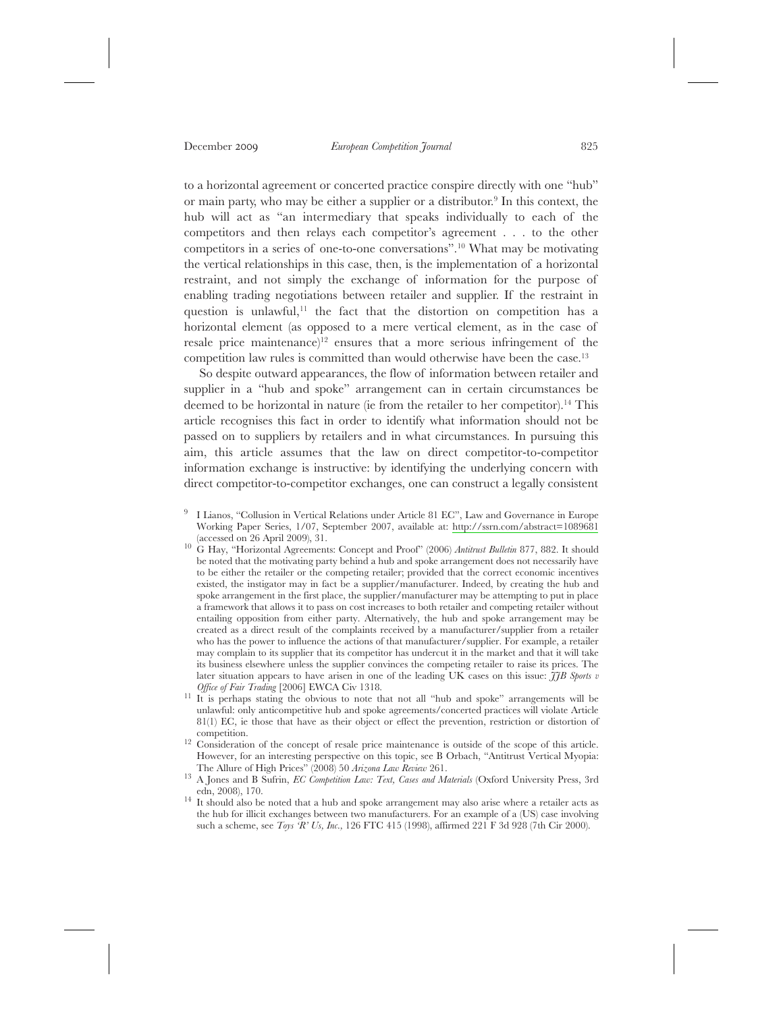to a horizontal agreement or concerted practice conspire directly with one "hub" or main party, who may be either a supplier or a distributor.<sup>9</sup> In this context, the hub will act as "an intermediary that speaks individually to each of the competitors and then relays each competitor's agreement . . . to the other competitors in a series of one-to-one conversations".<sup>10</sup> What may be motivating the vertical relationships in this case, then, is the implementation of a horizontal restraint, and not simply the exchange of information for the purpose of enabling trading negotiations between retailer and supplier. If the restraint in question is unlawful,<sup>11</sup> the fact that the distortion on competition has a horizontal element (as opposed to a mere vertical element, as in the case of resale price maintenance)<sup>12</sup> ensures that a more serious infringement of the competition law rules is committed than would otherwise have been the case.<sup>13</sup>

So despite outward appearances, the flow of information between retailer and supplier in a "hub and spoke" arrangement can in certain circumstances be deemed to be horizontal in nature (ie from the retailer to her competitor).<sup>14</sup> This article recognises this fact in order to identify what information should not be passed on to suppliers by retailers and in what circumstances. In pursuing this aim, this article assumes that the law on direct competitor-to-competitor information exchange is instructive: by identifying the underlying concern with direct competitor-to-competitor exchanges, one can construct a legally consistent

- I Lianos, "Collusion in Vertical Relations under Article 81 EC", Law and Governance in Europe Working Paper Series, 1/07, September 2007, available at: http://ssrn.com/abstract=1089681 (accessed on 26 April 2009), 31.
- <sup>10</sup> G Hay, "Horizontal Agreements: Concept and Proof" (2006) Antitrust Bulletin 877, 882. It should be noted that the motivating party behind a hub and spoke arrangement does not necessarily have to be either the retailer or the competing retailer; provided that the correct economic incentives existed, the instigator may in fact be a supplier/manufacturer. Indeed, by creating the hub and spoke arrangement in the first place, the supplier/manufacturer may be attempting to put in place a framework that allows it to pass on cost increases to both retailer and competing retailer without entailing opposition from either party. Alternatively, the hub and spoke arrangement may be created as a direct result of the complaints received by a manufacturer/supplier from a retailer who has the power to influence the actions of that manufacturer/supplier. For example, a retailer may complain to its supplier that its competitor has undercut it in the market and that it will take its business elsewhere unless the supplier convinces the competing retailer to raise its prices. The later situation appears to have arisen in one of the leading UK cases on this issue:  $\hat{\mathcal{H}}$  Sports v Office of Fair Trading [2006] EWCA Civ 1318.
- <sup>11</sup> It is perhaps stating the obvious to note that not all "hub and spoke" arrangements will be unlawful: only anticompetitive hub and spoke agreements/concerted practices will violate Article 81(1) EC, ie those that have as their object or effect the prevention, restriction or distortion of competition.
- <sup>12</sup> Consideration of the concept of resale price maintenance is outside of the scope of this article. However, for an interesting perspective on this topic, see B Orbach, "Antitrust Vertical Myopia: The Allure of High Prices" (2008) 50 Arizona Law Review 261.
- <sup>13</sup> A Jones and B Sufrin, *EC Competition Law: Text, Cases and Materials* (Oxford University Press, 3rd edn, 2008), 170.
- <sup>14</sup> It should also be noted that a hub and spoke arrangement may also arise where a retailer acts as the hub for illicit exchanges between two manufacturers. For an example of a (US) case involving such a scheme, see Toys 'R' Us, Inc., 126 FTC 415 (1998), affirmed 221 F 3d 928 (7th Cir 2000).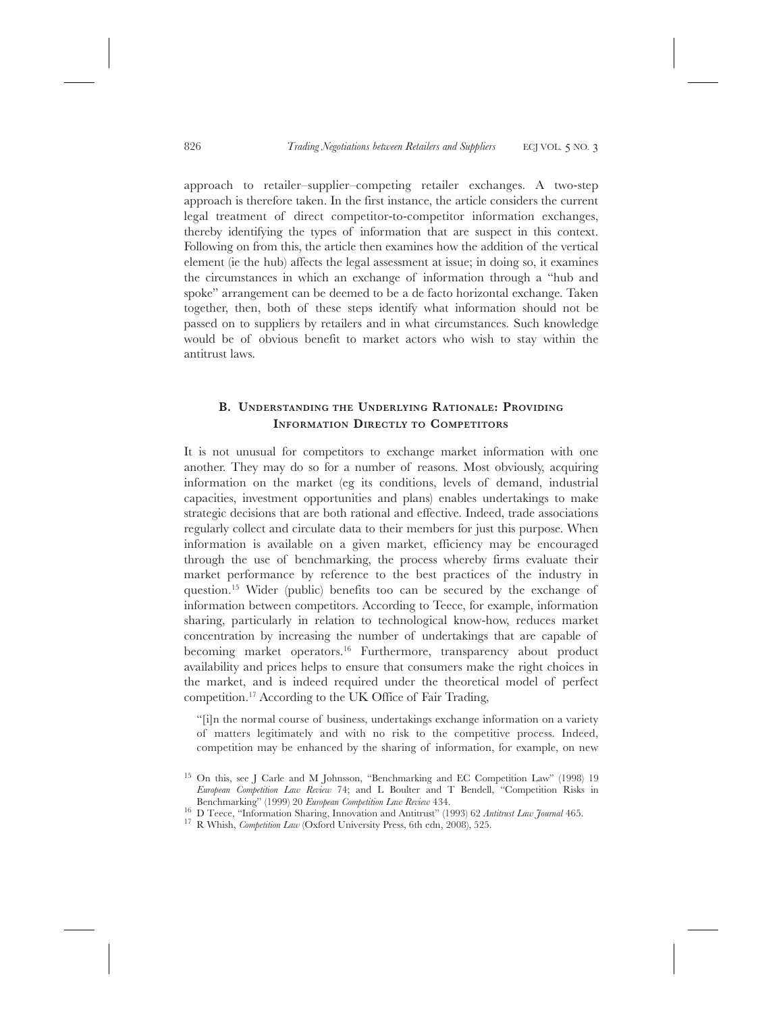approach to retailer-supplier-competing retailer exchanges. A two-step approach is therefore taken. In the first instance, the article considers the current legal treatment of direct competitor-to-competitor information exchanges, thereby identifying the types of information that are suspect in this context. Following on from this, the article then examines how the addition of the vertical element (ie the hub) affects the legal assessment at issue; in doing so, it examines the circumstances in which an exchange of information through a "hub and spoke" arrangement can be deemed to be a de facto horizontal exchange. Taken together, then, both of these steps identify what information should not be passed on to suppliers by retailers and in what circumstances. Such knowledge would be of obvious benefit to market actors who wish to stay within the antitrust laws.

### **B. UNDERSTANDING THE UNDERLYING RATIONALE: PROVIDING INFORMATION DIRECTLY TO COMPETITORS**

It is not unusual for competitors to exchange market information with one another. They may do so for a number of reasons. Most obviously, acquiring information on the market (eg its conditions, levels of demand, industrial capacities, investment opportunities and plans) enables undertakings to make strategic decisions that are both rational and effective. Indeed, trade associations regularly collect and circulate data to their members for just this purpose. When information is available on a given market, efficiency may be encouraged through the use of benchmarking, the process whereby firms evaluate their market performance by reference to the best practices of the industry in question.<sup>15</sup> Wider (public) benefits too can be secured by the exchange of information between competitors. According to Teece, for example, information sharing, particularly in relation to technological know-how, reduces market concentration by increasing the number of undertakings that are capable of becoming market operators.<sup>16</sup> Furthermore, transparency about product availability and prices helps to ensure that consumers make the right choices in the market, and is indeed required under the theoretical model of perfect competition.<sup>17</sup> According to the UK Office of Fair Trading,

"[i]n the normal course of business, undertakings exchange information on a variety of matters legitimately and with no risk to the competitive process. Indeed, competition may be enhanced by the sharing of information, for example, on new

<sup>&</sup>lt;sup>15</sup> On this, see J Carle and M Johnsson, "Benchmarking and EC Competition Law" (1998) 19 European Competition Law Review 74; and L Boulter and T Bendell, "Competition Risks in Benchmarking" (1999) 20 European Competition Law Review 434.

<sup>&</sup>lt;sup>16</sup> D Teece, "Information Sharing, Innovation and Antitrust" (1993) 62 Antitrust Law Journal 465.

<sup>&</sup>lt;sup>17</sup> R Whish, *Competition Law* (Oxford University Press, 6th edn, 2008), 525.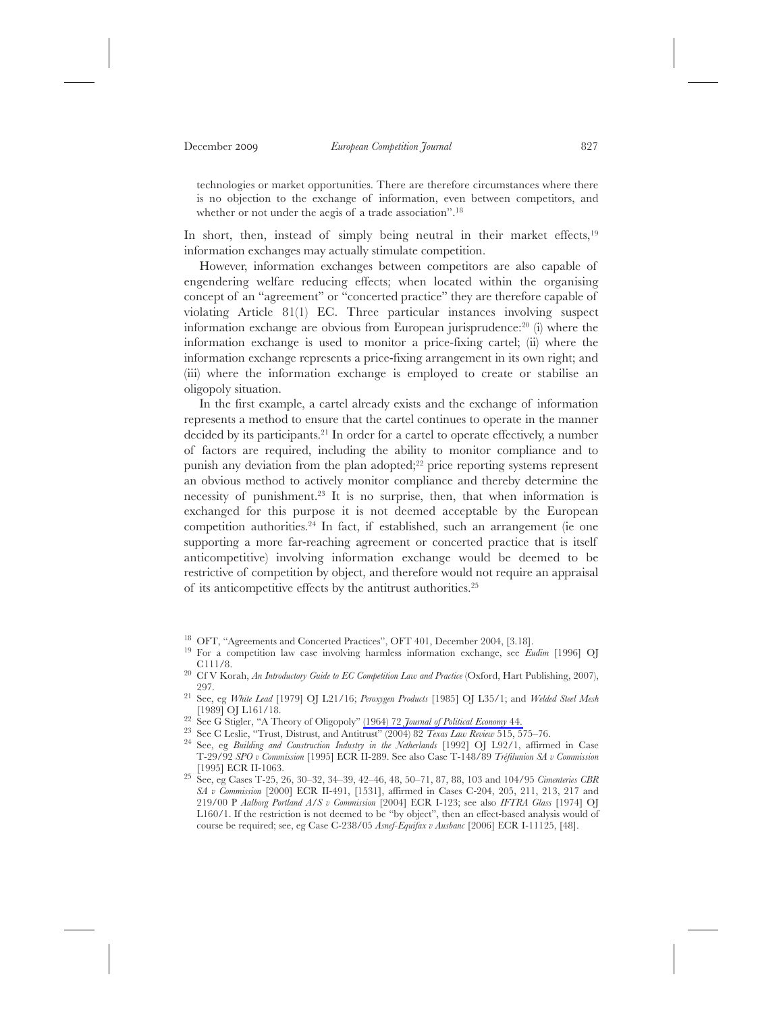technologies or market opportunities. There are therefore circumstances where there is no objection to the exchange of information, even between competitors, and whether or not under the aegis of a trade association".<sup>18</sup>

In short, then, instead of simply being neutral in their market effects,<sup>19</sup> information exchanges may actually stimulate competition.

However, information exchanges between competitors are also capable of engendering welfare reducing effects; when located within the organising concept of an "agreement" or "concerted practice" they are therefore capable of violating Article 81(1) EC. Three particular instances involving suspect information exchange are obvious from European jurisprudence:<sup>20</sup> (i) where the information exchange is used to monitor a price-fixing cartel; (ii) where the information exchange represents a price-fixing arrangement in its own right; and (iii) where the information exchange is employed to create or stabilise an oligopoly situation.

In the first example, a cartel already exists and the exchange of information represents a method to ensure that the cartel continues to operate in the manner decided by its participants.<sup>21</sup> In order for a cartel to operate effectively, a number of factors are required, including the ability to monitor compliance and to punish any deviation from the plan adopted;<sup>22</sup> price reporting systems represent an obvious method to actively monitor compliance and thereby determine the necessity of punishment.<sup>23</sup> It is no surprise, then, that when information is exchanged for this purpose it is not deemed acceptable by the European competition authorities. $24$  In fact, if established, such an arrangement (ie one supporting a more far-reaching agreement or concerted practice that is itself anticompetitive) involving information exchange would be deemed to be restrictive of competition by object, and therefore would not require an appraisal of its anticompetitive effects by the antitrust authorities.<sup>25</sup>

- <sup>18</sup> OFT, "Agreements and Concerted Practices", OFT 401, December 2004, [3.18].
- <sup>19</sup> For a competition law case involving harmless information exchange, see Eudim [1996] OJ  $Cl11/8.$
- <sup>20</sup> Cf V Korah, An Introductory Guide to EC Competition Law and Practice (Oxford, Hart Publishing, 2007), 297.
- <sup>21</sup> See, eg White Lead [1979] OJ L21/16; Peroxygen Products [1985] OJ L35/1; and Welded Steel Mesh [1989] OJ L161/18.
- <sup>22</sup> See G Stigler, "A Theory of Oligopoly" (1964) 72 *Journal of Political Economy* 44.
- <sup>23</sup> See C Leslie, "Trust, Distrust, and Antitrust" (2004) 82 Texas Law Review 515, 575-76.
- <sup>24</sup> See, eg Building and Construction Industry in the Netherlands [1992] OJ L92/1, affirmed in Case T-29/92 SPO v Commission [1995] ECR II-289. See also Case T-148/89 Tréfilunion SA v Commission [1995] ECR II-1063.
- <sup>25</sup> See, eg Cases T-25, 26, 30-32, 34-39, 42-46, 48, 50-71, 87, 88, 103 and 104/95 *Cimenteries CBR* SA v Commission [2000] ECR II-491, [1531], affirmed in Cases C-204, 205, 211, 213, 217 and 219/00 P Aalborg Portland A/S v Commission [2004] ECR I-123; see also IFTRA Glass [1974] OJ L160/1. If the restriction is not deemed to be "by object", then an effect-based analysis would of course be required; see, eg Case C-238/05 Asnef-Equitax v Ausbanc [2006] ECR I-11125, [48].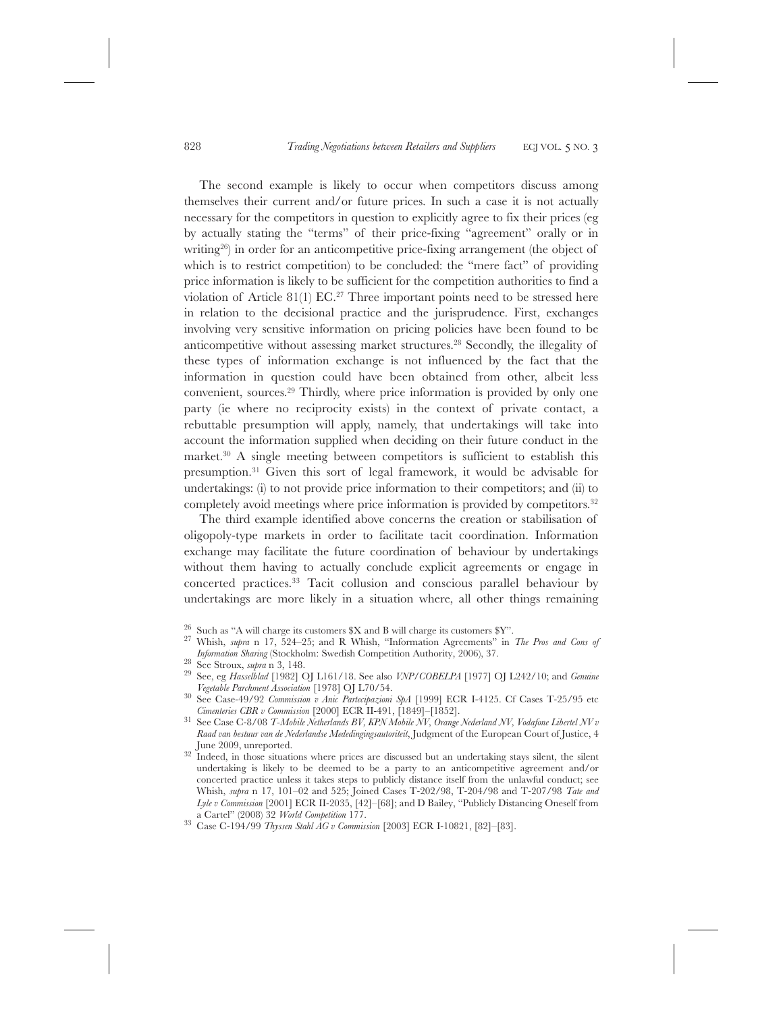The second example is likely to occur when competitors discuss among themselves their current and/or future prices. In such a case it is not actually necessary for the competitors in question to explicitly agree to fix their prices (eg by actually stating the "terms" of their price-fixing "agreement" orally or in writing<sup>26</sup>) in order for an anticompetitive price-fixing arrangement (the object of which is to restrict competition) to be concluded: the "mere fact" of providing price information is likely to be sufficient for the competition authorities to find a violation of Article 81(1) EC.<sup>27</sup> Three important points need to be stressed here in relation to the decisional practice and the jurisprudence. First, exchanges involving very sensitive information on pricing policies have been found to be anticompetitive without assessing market structures.<sup>28</sup> Secondly, the illegality of these types of information exchange is not influenced by the fact that the information in question could have been obtained from other, albeit less convenient, sources.<sup>29</sup> Thirdly, where price information is provided by only one party (ie where no reciprocity exists) in the context of private contact, a rebuttable presumption will apply, namely, that undertakings will take into account the information supplied when deciding on their future conduct in the market.<sup>30</sup> A single meeting between competitors is sufficient to establish this presumption.<sup>31</sup> Given this sort of legal framework, it would be advisable for undertakings: (i) to not provide price information to their competitors; and (ii) to completely avoid meetings where price information is provided by competitors.<sup>32</sup>

The third example identified above concerns the creation or stabilisation of oligopoly-type markets in order to facilitate tacit coordination. Information exchange may facilitate the future coordination of behaviour by undertakings without them having to actually conclude explicit agreements or engage in concerted practices.<sup>33</sup> Tacit collusion and conscious parallel behaviour by undertakings are more likely in a situation where, all other things remaining

<sup>&</sup>lt;sup>26</sup> Such as "A will charge its customers  $X$  and B will charge its customers  $Y$ ".

<sup>&</sup>lt;sup>27</sup> Whish, *supra* n 17, 524-25; and R Whish, "Information Agreements" in The Pros and Cons of Information Sharing (Stockholm: Swedish Competition Authority, 2006), 37.

 $28$  See Stroux, supra n 3, 148.

<sup>&</sup>lt;sup>29</sup> See, eg Hasselblad [1982] OJ L161/18. See also VNP/COBELPA [1977] OJ L242/10; and Genuine Vegetable Parchment Association [1978] OJ L70/54.

<sup>&</sup>lt;sup>30</sup> See Case-49/92 Commission v Anic Partecipazioni SpA [1999] ECR I-4125. Cf Cases T-25/95 etc Cimenteries CBR v Commission [2000] ECR II-491, [1849]-[1852].

 $31$  See Case C-8/08 T-Mobile Netherlands BV, KPN Mobile NV, Orange Nederland NV, Vodafone Libertel NV v Raad van bestuur van de Nederlandse Mededingingsautoriteit, Judgment of the European Court of Justice, 4 June 2009, unreported.<br><sup>32</sup> Indeed, in those situations where prices are discussed but an undertaking stays silent, the silent

undertaking is likely to be deemed to be a party to an anticompetitive agreement and/or concerted practice unless it takes steps to publicly distance itself from the unlawful conduct; see Whish, supra n 17, 101-02 and 525; Joined Cases T-202/98, T-204/98 and T-207/98 Tate and Lyle v Commission [2001] ECR II-2035, [42]-[68]; and D Bailey, "Publicly Distancing Oneself from a Cartel" (2008) 32 World Competition 177.

<sup>&</sup>lt;sup>33</sup> Case C-194/99 Thyssen Stahl AG v Commission [2003] ECR I-10821, [82]-[83].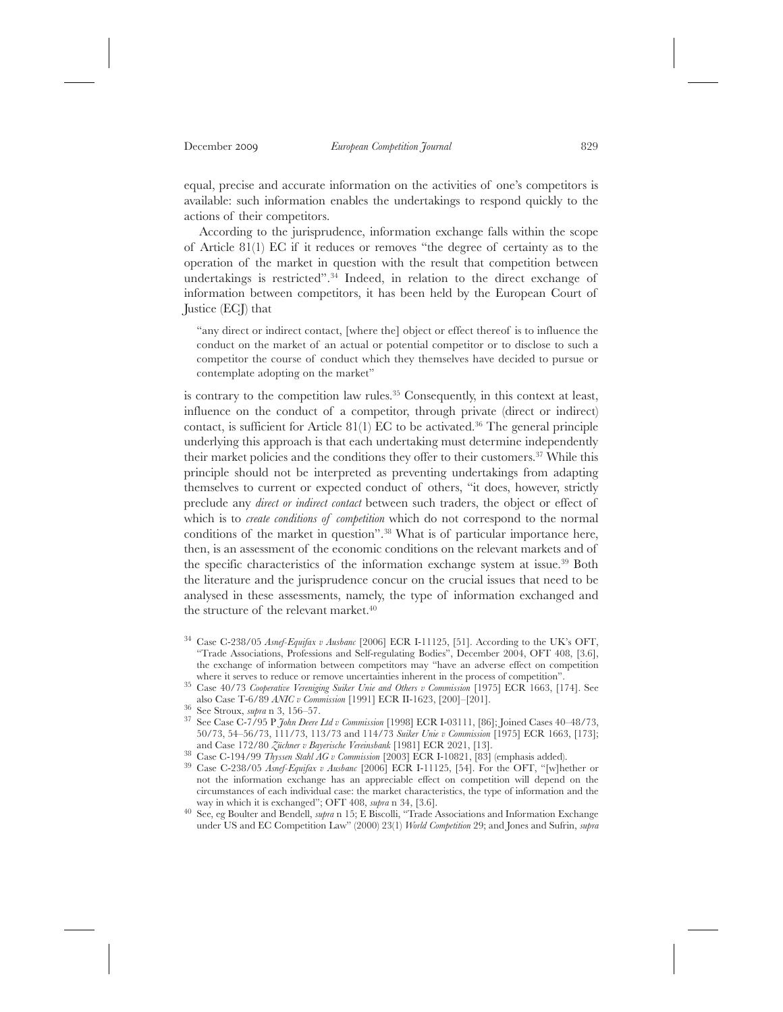equal, precise and accurate information on the activities of one's competitors is available: such information enables the undertakings to respond quickly to the actions of their competitors.

According to the jurisprudence, information exchange falls within the scope of Article 81(1) EC if it reduces or removes "the degree of certainty as to the operation of the market in question with the result that competition between undertakings is restricted".<sup>34</sup> Indeed, in relation to the direct exchange of information between competitors, it has been held by the European Court of Justice (ECJ) that

"any direct or indirect contact, [where the] object or effect thereof is to influence the conduct on the market of an actual or potential competitor or to disclose to such a competitor the course of conduct which they themselves have decided to pursue or contemplate adopting on the market"

is contrary to the competition law rules.<sup>35</sup> Consequently, in this context at least, influence on the conduct of a competitor, through private (direct or indirect) contact, is sufficient for Article  $81(1)$  EC to be activated.<sup>36</sup> The general principle underlying this approach is that each undertaking must determine independently their market policies and the conditions they offer to their customers.<sup>37</sup> While this principle should not be interpreted as preventing undertakings from adapting themselves to current or expected conduct of others, "it does, however, strictly preclude any *direct or indirect contact* between such traders, the object or effect of which is to create conditions of competition which do not correspond to the normal conditions of the market in question".<sup>38</sup> What is of particular importance here, then, is an assessment of the economic conditions on the relevant markets and of the specific characteristics of the information exchange system at issue.<sup>39</sup> Both the literature and the jurisprudence concur on the crucial issues that need to be analysed in these assessments, namely, the type of information exchanged and the structure of the relevant market.<sup>40</sup>

- <sup>34</sup> Case C-238/05 Asnef-Equifax v Ausbanc [2006] ECR I-11125, [51]. According to the UK's OFT, "Trade Associations, Professions and Self-regulating Bodies", December 2004, OFT 408, [3.6], the exchange of information between competitors may "have an adverse effect on competition where it serves to reduce or remove uncertainties inherent in the process of competition".
- <sup>35</sup> Case 40/73 Cooperative Vereniging Suiker Unie and Others v Commission [1975] ECR 1663, [174]. See also Case T-6/89 ANIC v Commission [1991] ECR II-1623, [200]-[201].
- $36$  See Stroux, supra n 3, 156-57.
- <sup>37</sup> See Case C-7/95 P  $\tilde{f}$ ohn Deere Ltd v Commission [1998] ECR I-03111, [86]; Joined Cases 40–48/73, 50/73, 54-56/73, 111/73, 113/73 and 114/73 Suiker Unie v Commission [1975] ECR 1663, [173]; and Case 172/80 Züchner v Bayerische Vereinsbank [1981] ECR 2021, [13].
- <sup>38</sup> Case C-194/99 Thyssen Stahl AG v Commission [2003] ECR I-10821, [83] (emphasis added).
- <sup>39</sup> Case C-238/05 Asnef-Equifax v Ausbanc [2006] ECR I-11125, [54]. For the OFT, "[w]hether or not the information exchange has an appreciable effect on competition will depend on the circumstances of each individual case: the market characteristics, the type of information and the way in which it is exchanged"; OFT 408, supra n 34, [3.6].
- <sup>40</sup> See, eg Boulter and Bendell, *supra* n 15; E Biscolli, "Trade Associations and Information Exchange under US and EC Competition Law" (2000) 23(1) World Competition 29; and Jones and Sufrin, supra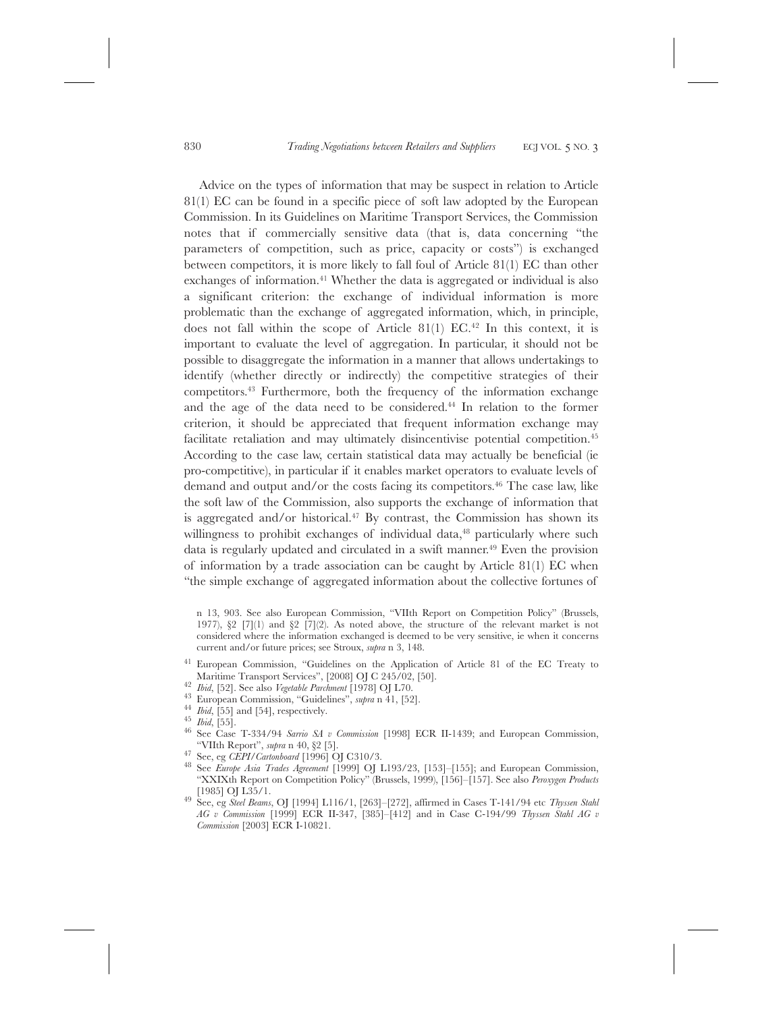Advice on the types of information that may be suspect in relation to Article 81(1) EC can be found in a specific piece of soft law adopted by the European Commission. In its Guidelines on Maritime Transport Services, the Commission notes that if commercially sensitive data (that is, data concerning "the parameters of competition, such as price, capacity or costs") is exchanged between competitors, it is more likely to fall foul of Article 81(1) EC than other exchanges of information.<sup>41</sup> Whether the data is aggregated or individual is also a significant criterion: the exchange of individual information is more problematic than the exchange of aggregated information, which, in principle, does not fall within the scope of Article 81(1)  $EC^{42}$  In this context, it is important to evaluate the level of aggregation. In particular, it should not be possible to disaggregate the information in a manner that allows undertakings to identify (whether directly or indirectly) the competitive strategies of their competitors.<sup>43</sup> Furthermore, both the frequency of the information exchange and the age of the data need to be considered.<sup>44</sup> In relation to the former criterion, it should be appreciated that frequent information exchange may facilitate retaliation and may ultimately disincentivise potential competition.<sup>45</sup> According to the case law, certain statistical data may actually be beneficial (ie pro-competitive), in particular if it enables market operators to evaluate levels of demand and output and/or the costs facing its competitors.<sup>46</sup> The case law, like the soft law of the Commission, also supports the exchange of information that is aggregated and/or historical.<sup>47</sup> By contrast, the Commission has shown its willingness to prohibit exchanges of individual data,<sup>48</sup> particularly where such data is regularly updated and circulated in a swift manner.<sup>49</sup> Even the provision of information by a trade association can be caught by Article 81(1) EC when "the simple exchange of aggregated information about the collective fortunes of

n 13, 903. See also European Commission, "VIIth Report on Competition Policy" (Brussels, 1977), §2 [7](1) and §2 [7](2). As noted above, the structure of the relevant market is not considered where the information exchanged is deemed to be very sensitive, ie when it concerns current and/or future prices; see Stroux, supra n 3, 148.

- <sup>41</sup> European Commission, "Guidelines on the Application of Article 81 of the EC Treaty to Maritime Transport Services", [2008] OJ C 245/02, [50].
- <sup>42</sup> Ibid, [52]. See also Vegetable Parchment [1978] OJ L70.
- <sup>43</sup> European Commission, "Guidelines", supra n 41, [52].
- <sup>44</sup> *Ibid*, [55] and [54], respectively.
- $45$  *Ibid*, [55].
- 46 See Case T-334/94 Sarrio SA v Commission [1998] ECR II-1439; and European Commission, "VIIth Report", supra n 40, §2 [5].
- <sup>47</sup> See, eg CEPI/Cartonboard [1996] OJ C310/3.
- <sup>48</sup> See Europe Asia Trades Agreement [1999] OJ L193/23, [153]-[155]; and European Commission, "XXIXth Report on Competition Policy" (Brussels, 1999), [156]-[157]. See also Peroxygen Products [1985] OJ L35/1.
- <sup>49</sup> See, eg Steel Beams, OJ [1994] L116/1, [263]-[272], affirmed in Cases T-141/94 etc Thyssen Stahl AG v Commission [1999] ECR II-347, [385]-[412] and in Case C-194/99 Thyssen Stahl AG v Commission [2003] ECR I-10821.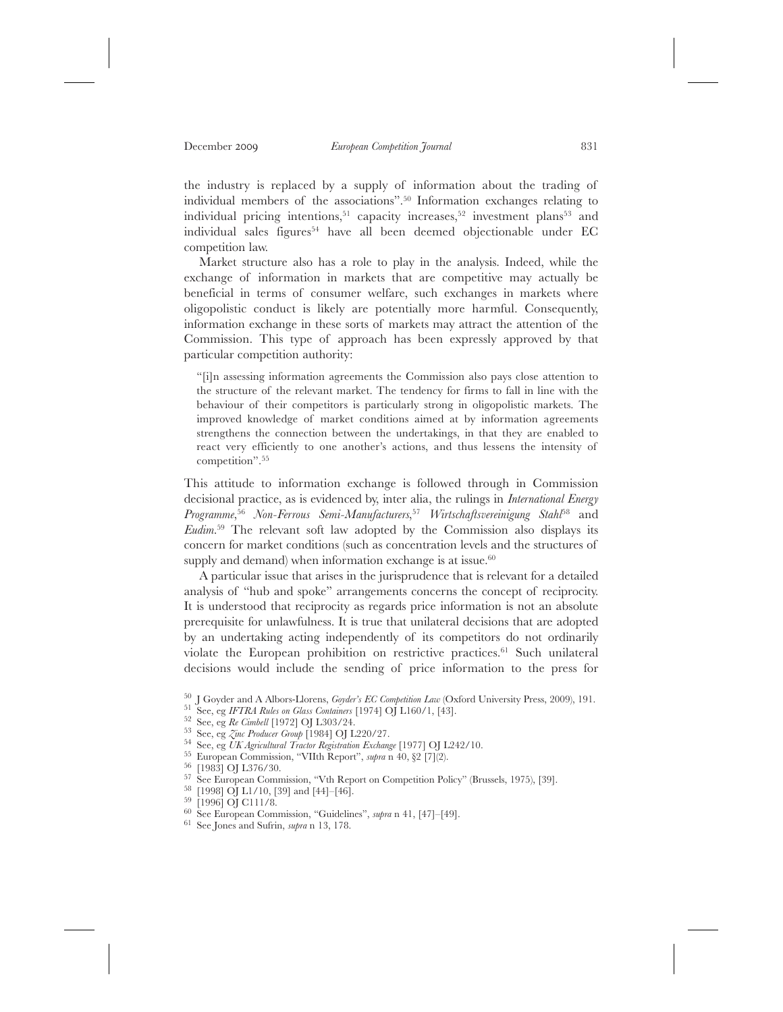the industry is replaced by a supply of information about the trading of individual members of the associations".<sup>50</sup> Information exchanges relating to individual pricing intentions,<sup>51</sup> capacity increases,<sup>52</sup> investment plans<sup>53</sup> and individual sales figures<sup>54</sup> have all been deemed objectionable under EC competition law.

Market structure also has a role to play in the analysis. Indeed, while the exchange of information in markets that are competitive may actually be beneficial in terms of consumer welfare, such exchanges in markets where oligopolistic conduct is likely are potentially more harmful. Consequently, information exchange in these sorts of markets may attract the attention of the Commission. This type of approach has been expressly approved by that particular competition authority:

"[i]n assessing information agreements the Commission also pays close attention to the structure of the relevant market. The tendency for firms to fall in line with the behaviour of their competitors is particularly strong in oligopolistic markets. The improved knowledge of market conditions aimed at by information agreements strengthens the connection between the undertakings, in that they are enabled to react very efficiently to one another's actions, and thus lessens the intensity of competition".<sup>55</sup>

This attitude to information exchange is followed through in Commission decisional practice, as is evidenced by, inter alia, the rulings in International Energy Programme,<sup>56</sup> Non-Ferrous Semi-Manufacturers,<sup>57</sup> Wirtschaftsvereinigung Stahl<sup>58</sup> and Eudim.<sup>59</sup> The relevant soft law adopted by the Commission also displays its concern for market conditions (such as concentration levels and the structures of supply and demand) when information exchange is at issue. $60$ 

A particular issue that arises in the jurisprudence that is relevant for a detailed analysis of "hub and spoke" arrangements concerns the concept of reciprocity. It is understood that reciprocity as regards price information is not an absolute prerequisite for unlawfulness. It is true that unilateral decisions that are adopted by an undertaking acting independently of its competitors do not ordinarily violate the European prohibition on restrictive practices.<sup>61</sup> Such unilateral decisions would include the sending of price information to the press for

- $52$  See, eg Re Cimbell [1972] OJ L303/24.
- <sup>53</sup> See, eg Zinc Producer Group [1984] OJ L220/27.
- <sup>54</sup> See, eg *UK Agricultural Tractor Registration Exchange* [1977] OJ L242/10.
- <sup>55</sup> European Commission, "VIIth Report", supra n 40, §2 [7](2).
- <sup>56</sup> [1983] OJ L376/30.
- <sup>57</sup> See European Commission, "Vth Report on Competition Policy" (Brussels, 1975), [39].
- $58$  [1998] OJ L1/10, [39] and [44]-[46].
- <sup>59</sup> [1996] OJ C111/8.
- $60$  See European Commission, "Guidelines", supra n 41, [47]-[49].
- $61$  See Jones and Sufrin, supra n 13, 178.

<sup>&</sup>lt;sup>50</sup> J Goyder and A Albors-Llorens, *Goyder's EC Competition Law* (Oxford University Press, 2009), 191.

<sup>&</sup>lt;sup>51</sup> See, eg IFTRA Rules on Glass Containers [1974] OJ L160/1, [43].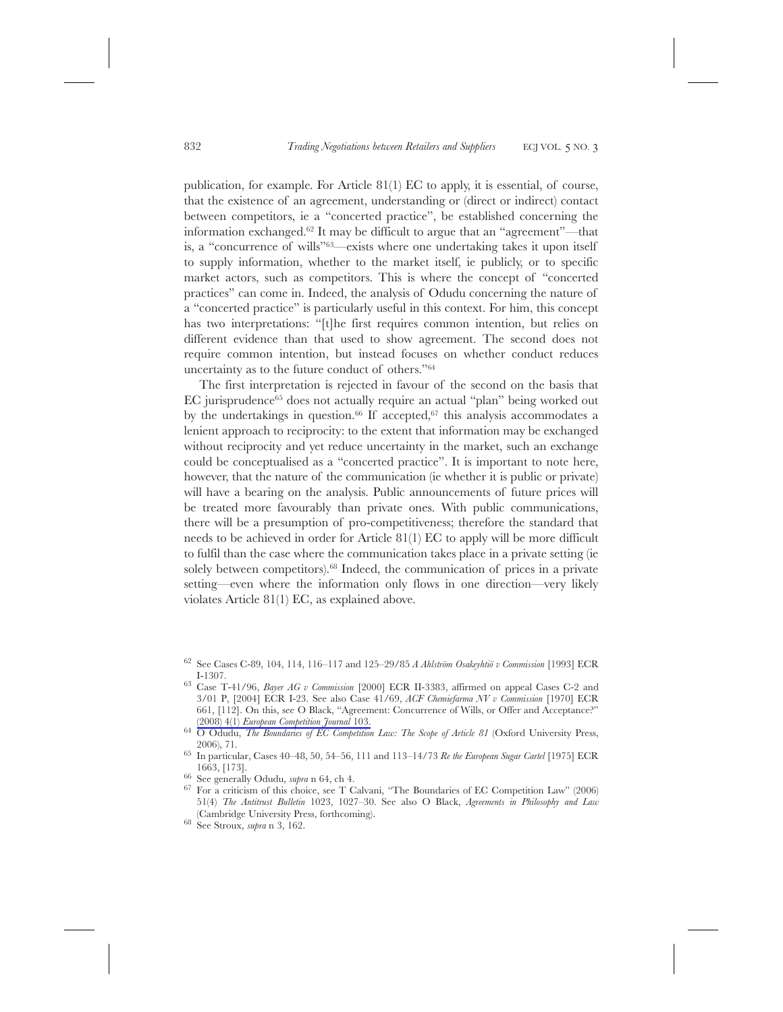publication, for example. For Article 81(1) EC to apply, it is essential, of course, that the existence of an agreement, understanding or (direct or indirect) contact between competitors, ie a "concerted practice", be established concerning the information exchanged.<sup>62</sup> It may be difficult to argue that an "agreement"—that is, a "concurrence of wills"<sup>63</sup>—exists where one undertaking takes it upon itself to supply information, whether to the market itself, ie publicly, or to specific market actors, such as competitors. This is where the concept of "concerted" practices" can come in. Indeed, the analysis of Odudu concerning the nature of a "concerted practice" is particularly useful in this context. For him, this concept has two interpretations: "[t]he first requires common intention, but relies on different evidence than that used to show agreement. The second does not require common intention, but instead focuses on whether conduct reduces uncertainty as to the future conduct of others."<sup>64</sup>

The first interpretation is rejected in favour of the second on the basis that EC jurisprudence<sup>65</sup> does not actually require an actual "plan" being worked out by the undertakings in question.<sup>66</sup> If accepted, $67$  this analysis accommodates a lenient approach to reciprocity: to the extent that information may be exchanged without reciprocity and vet reduce uncertainty in the market, such an exchange could be conceptualised as a "concerted practice". It is important to note here, however, that the nature of the communication (ie whether it is public or private) will have a bearing on the analysis. Public announcements of future prices will be treated more favourably than private ones. With public communications, there will be a presumption of pro-competitiveness; therefore the standard that needs to be achieved in order for Article 81(1) EC to apply will be more difficult to fulfil than the case where the communication takes place in a private setting (ie) solely between competitors).<sup>68</sup> Indeed, the communication of prices in a private setting—even where the information only flows in one direction—very likely violates Article 81(1) EC, as explained above.

- <sup>62</sup> See Cases C-89, 104, 114, 116-117 and 125-29/85 A Ahlström Osakeyhtiö v Commission [1993] ECR  $I-1307.$
- <sup>63</sup> Case T-41/96, Bayer AG v Commission [2000] ECR II-3383, affirmed on appeal Cases C-2 and 3/01 P, [2004] ECR I-23. See also Case 41/69, ACF Chemiefarma NV v Commission [1970] ECR 661, [112]. On this, see O Black, "Agreement: Concurrence of Wills, or Offer and Acceptance?" (2008) 4(1) European Competition Journal 103.
- 64 O Odudu, The Boundaries of EC Competition Law: The Scope of Article 81 (Oxford University Press, 2006), 71.
- 65 In particular, Cases 40-48, 50, 54-56, 111 and 113-14/73 Re the European Sugar Cartel [1975] ECR 1663, [173].
- <sup>66</sup> See generally Odudu, supra n 64, ch 4.
- <sup>67</sup> For a criticism of this choice, see T Calvani, "The Boundaries of EC Competition Law" (2006) 51(4) The Antitrust Bulletin 1023, 1027-30. See also O Black, Agreements in Philosophy and Law (Cambridge University Press, forthcoming).
- 68 See Stroux, supra n 3, 162.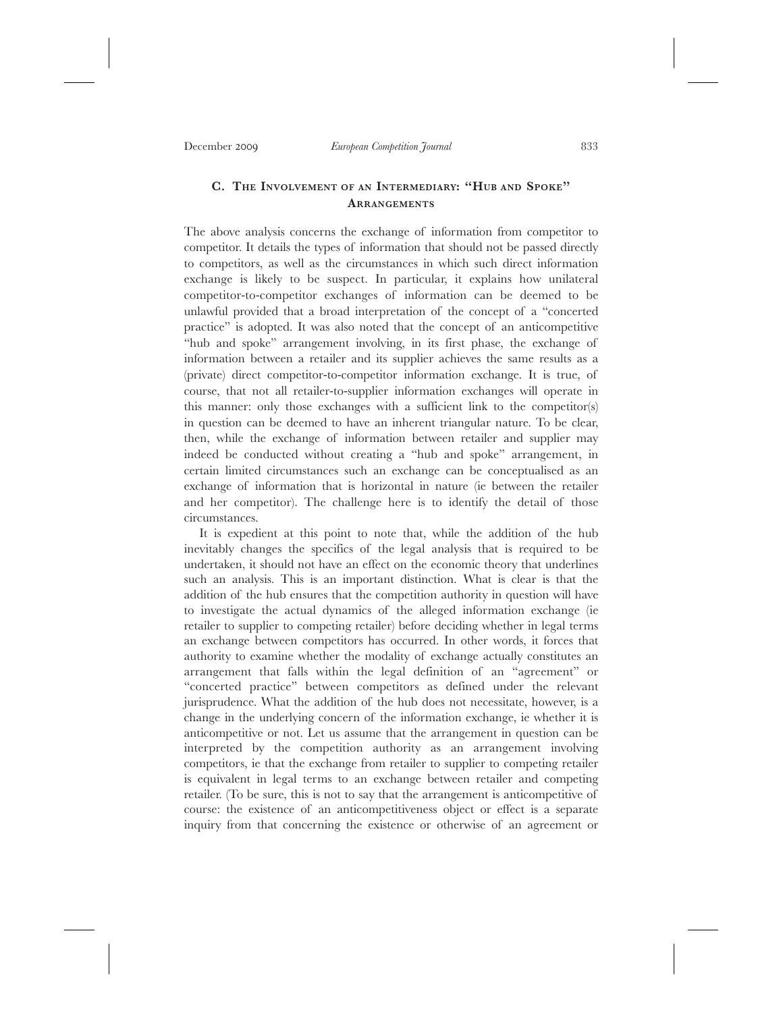# C. THE INVOLVEMENT OF AN INTERMEDIARY: "HUB AND SPOKE" **ARRANGEMENTS**

The above analysis concerns the exchange of information from competitor to competitor. It details the types of information that should not be passed directly to competitors, as well as the circumstances in which such direct information exchange is likely to be suspect. In particular, it explains how unilateral competitor-to-competitor exchanges of information can be deemed to be unlawful provided that a broad interpretation of the concept of a "concerted practice" is adopted. It was also noted that the concept of an anticompetitive "hub and spoke" arrangement involving, in its first phase, the exchange of information between a retailer and its supplier achieves the same results as a (private) direct competitor-to-competitor information exchange. It is true, of course, that not all retailer-to-supplier information exchanges will operate in this manner: only those exchanges with a sufficient link to the competitor(s) in question can be deemed to have an inherent triangular nature. To be clear, then, while the exchange of information between retailer and supplier may indeed be conducted without creating a "hub and spoke" arrangement, in certain limited circumstances such an exchange can be conceptualised as an exchange of information that is horizontal in nature (ie between the retailer and her competitor). The challenge here is to identify the detail of those circumstances.

It is expedient at this point to note that, while the addition of the hub inevitably changes the specifics of the legal analysis that is required to be undertaken, it should not have an effect on the economic theory that underlines such an analysis. This is an important distinction. What is clear is that the addition of the hub ensures that the competition authority in question will have to investigate the actual dynamics of the alleged information exchange (ie retailer to supplier to competing retailer) before deciding whether in legal terms an exchange between competitors has occurred. In other words, it forces that authority to examine whether the modality of exchange actually constitutes an arrangement that falls within the legal definition of an "agreement" or "concerted practice" between competitors as defined under the relevant jurisprudence. What the addition of the hub does not necessitate, however, is a change in the underlying concern of the information exchange, ie whether it is anticompetitive or not. Let us assume that the arrangement in question can be interpreted by the competition authority as an arrangement involving competitors, ie that the exchange from retailer to supplier to competing retailer is equivalent in legal terms to an exchange between retailer and competing retailer. (To be sure, this is not to say that the arrangement is anticompetitive of course: the existence of an anticompetitiveness object or effect is a separate inquiry from that concerning the existence or otherwise of an agreement or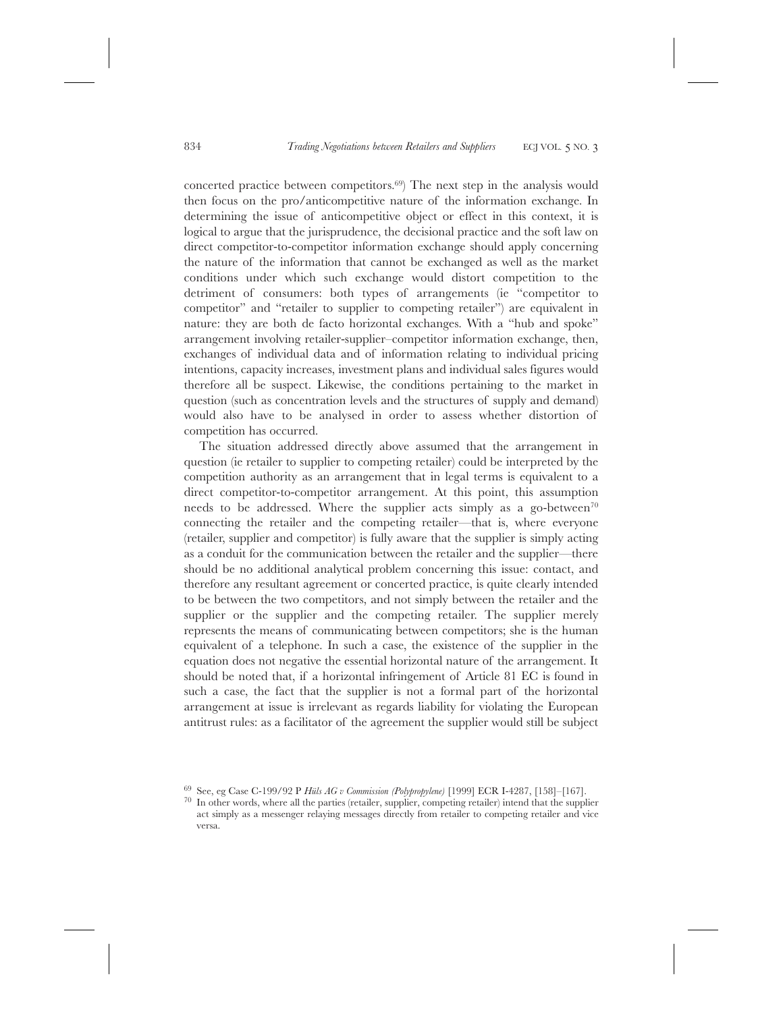concerted practice between competitors.<sup>69</sup>) The next step in the analysis would then focus on the pro/anticompetitive nature of the information exchange. In determining the issue of anticompetitive object or effect in this context, it is logical to argue that the jurisprudence, the decisional practice and the soft law on direct competitor-to-competitor information exchange should apply concerning the nature of the information that cannot be exchanged as well as the market conditions under which such exchange would distort competition to the detriment of consumers: both types of arrangements (ie "competitor to competitor" and "retailer to supplier to competing retailer") are equivalent in nature: they are both de facto horizontal exchanges. With a "hub and spoke" arrangement involving retailer-supplier-competitor information exchange, then, exchanges of individual data and of information relating to individual pricing intentions, capacity increases, investment plans and individual sales figures would therefore all be suspect. Likewise, the conditions pertaining to the market in question (such as concentration levels and the structures of supply and demand) would also have to be analysed in order to assess whether distortion of competition has occurred.

The situation addressed directly above assumed that the arrangement in question (ie retailer to supplier to competing retailer) could be interpreted by the competition authority as an arrangement that in legal terms is equivalent to a direct competitor-to-competitor arrangement. At this point, this assumption needs to be addressed. Where the supplier acts simply as a go-between<sup>70</sup> connecting the retailer and the competing retailer—that is, where everyone (retailer, supplier and competitor) is fully aware that the supplier is simply acting as a conduit for the communication between the retailer and the supplier—there should be no additional analytical problem concerning this issue: contact, and therefore any resultant agreement or concerted practice, is quite clearly intended to be between the two competitors, and not simply between the retailer and the supplier or the supplier and the competing retailer. The supplier merely represents the means of communicating between competitors; she is the human equivalent of a telephone. In such a case, the existence of the supplier in the equation does not negative the essential horizontal nature of the arrangement. It should be noted that, if a horizontal infringement of Article 81 EC is found in such a case, the fact that the supplier is not a formal part of the horizontal arrangement at issue is irrelevant as regards liability for violating the European antitrust rules: as a facilitator of the agreement the supplier would still be subject

<sup>&</sup>lt;sup>69</sup> See, eg Case C-199/92 P Hüls AG v Commission (Polypropylene) [1999] ECR I-4287, [158]-[167].

<sup>70</sup> In other words, where all the parties (retailer, supplier, competing retailer) intend that the supplier act simply as a messenger relaying messages directly from retailer to competing retailer and vice versa.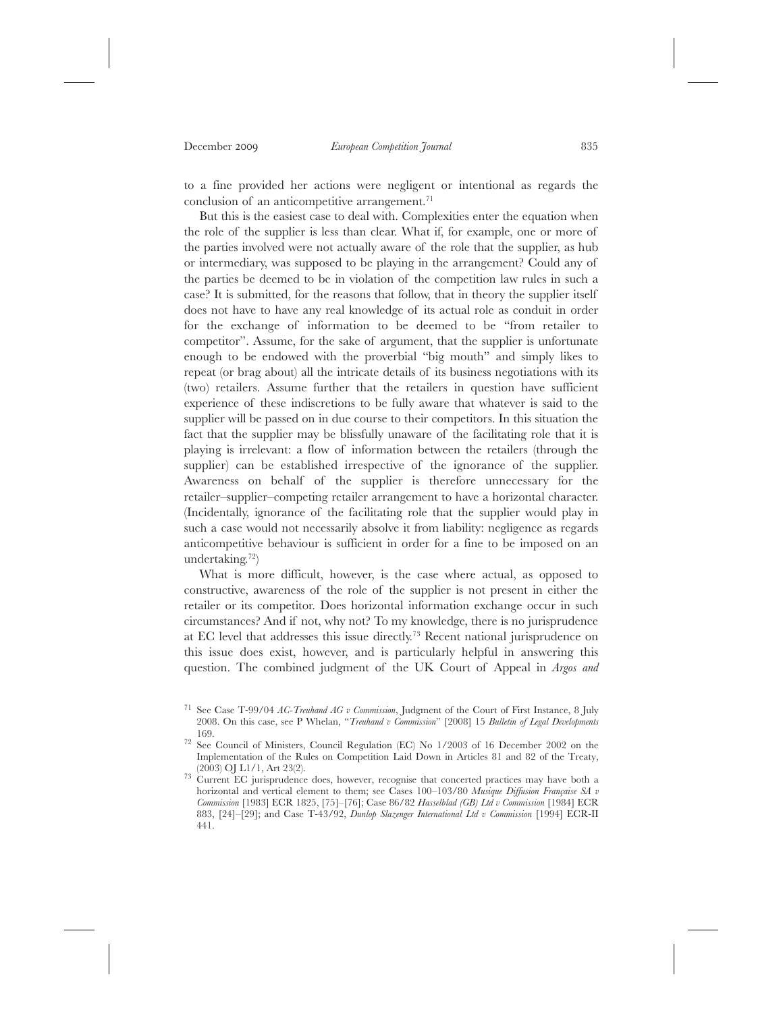to a fine provided her actions were negligent or intentional as regards the conclusion of an anticompetitive arrangement.<sup>71</sup>

But this is the easiest case to deal with. Complexities enter the equation when the role of the supplier is less than clear. What if, for example, one or more of the parties involved were not actually aware of the role that the supplier, as hub or intermediary, was supposed to be playing in the arrangement? Could any of the parties be deemed to be in violation of the competition law rules in such a case? It is submitted, for the reasons that follow, that in theory the supplier itself does not have to have any real knowledge of its actual role as conduit in order for the exchange of information to be deemed to be "from retailer to competitor". Assume, for the sake of argument, that the supplier is unfortunate enough to be endowed with the proverbial "big mouth" and simply likes to repeat (or brag about) all the intricate details of its business negotiations with its (two) retailers. Assume further that the retailers in question have sufficient experience of these indiscretions to be fully aware that whatever is said to the supplier will be passed on in due course to their competitors. In this situation the fact that the supplier may be blissfully unaware of the facilitating role that it is playing is irrelevant: a flow of information between the retailers (through the supplier) can be established irrespective of the ignorance of the supplier. Awareness on behalf of the supplier is therefore unnecessary for the retailer-supplier-competing retailer arrangement to have a horizontal character. (Incidentally, ignorance of the facilitating role that the supplier would play in such a case would not necessarily absolve it from liability: negligence as regards anticompetitive behaviour is sufficient in order for a fine to be imposed on an undertaking. $72)$ 

What is more difficult, however, is the case where actual, as opposed to constructive, awareness of the role of the supplier is not present in either the retailer or its competitor. Does horizontal information exchange occur in such circumstances? And if not, why not? To my knowledge, there is no jurisprudence at EC level that addresses this issue directly.<sup>73</sup> Recent national jurisprudence on this issue does exist, however, and is particularly helpful in answering this question. The combined judgment of the UK Court of Appeal in Argos and

<sup>&</sup>lt;sup>71</sup> See Case T-99/04 AC-Treuhand AG v Commission, Judgment of the Court of First Instance, 8 July 2008. On this case, see P Whelan, "Treuhand v Commission" [2008] 15 Bulletin of Legal Developments 169.

<sup>&</sup>lt;sup>72</sup> See Council of Ministers, Council Regulation (EC) No 1/2003 of 16 December 2002 on the Implementation of the Rules on Competition Laid Down in Articles 81 and 82 of the Treaty, (2003) OJ L1/1, Art 23(2).

<sup>&</sup>lt;sup>73</sup> Current EC jurisprudence does, however, recognise that concerted practices may have both a horizontal and vertical element to them; see Cases 100-103/80 Musique Diffusion Française SA v Commission [1983] ECR 1825, [75]-[76]; Case 86/82 Hasselblad (GB) Ltd v Commission [1984] ECR 883, [24]-[29]; and Case T-43/92, Dunlop Slazenger International Ltd v Commission [1994] ECR-II  $441.$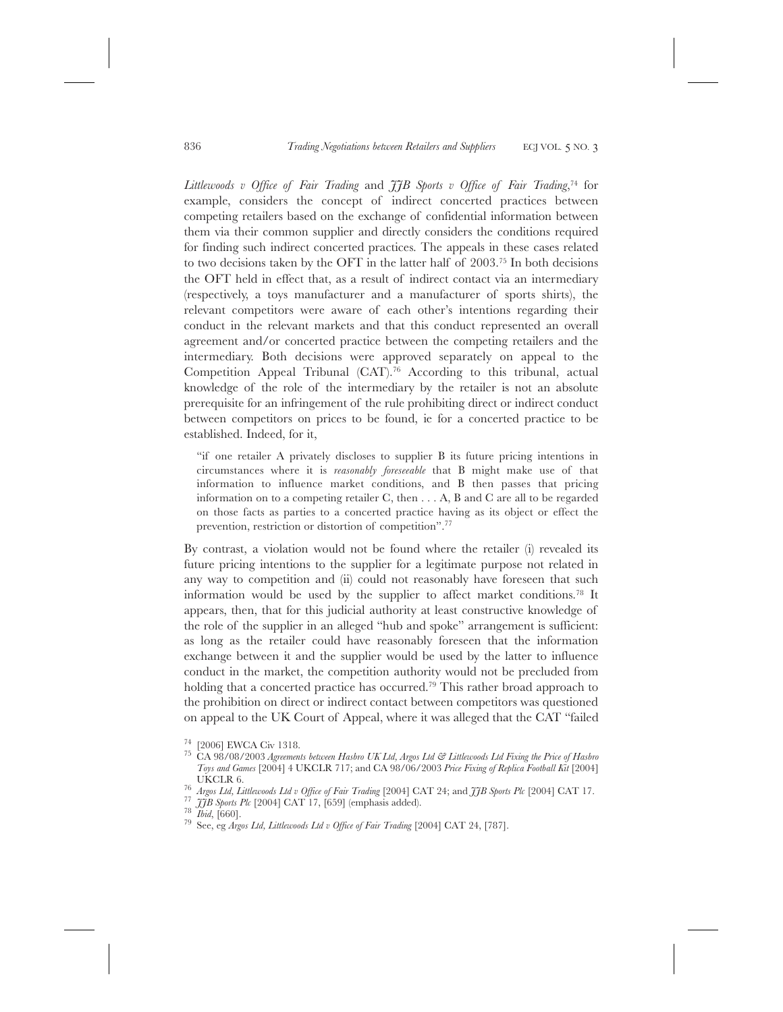Littlewoods v Office of Fair Trading and TJB Sports v Office of Fair Trading,<sup>74</sup> for example, considers the concept of indirect concerted practices between competing retailers based on the exchange of confidential information between them via their common supplier and directly considers the conditions required for finding such indirect concerted practices. The appeals in these cases related to two decisions taken by the OFT in the latter half of  $2003$ .<sup>75</sup> In both decisions the OFT held in effect that, as a result of indirect contact via an intermediary (respectively, a toys manufacturer and a manufacturer of sports shirts), the relevant competitors were aware of each other's intentions regarding their conduct in the relevant markets and that this conduct represented an overall agreement and/or concerted practice between the competing retailers and the intermediary. Both decisions were approved separately on appeal to the Competition Appeal Tribunal (CAT).<sup>76</sup> According to this tribunal, actual knowledge of the role of the intermediary by the retailer is not an absolute prerequisite for an infringement of the rule prohibiting direct or indirect conduct between competitors on prices to be found, ie for a concerted practice to be established. Indeed, for it,

"if one retailer A privately discloses to supplier B its future pricing intentions in circumstances where it is reasonably foreseeable that B might make use of that information to influence market conditions, and B then passes that pricing information on to a competing retailer C, then . . . A, B and C are all to be regarded on those facts as parties to a concerted practice having as its object or effect the prevention, restriction or distortion of competition".<sup>77</sup>

By contrast, a violation would not be found where the retailer (i) revealed its future pricing intentions to the supplier for a legitimate purpose not related in any way to competition and (ii) could not reasonably have foreseen that such information would be used by the supplier to affect market conditions.<sup>78</sup> It appears, then, that for this judicial authority at least constructive knowledge of the role of the supplier in an alleged "hub and spoke" arrangement is sufficient: as long as the retailer could have reasonably foreseen that the information exchange between it and the supplier would be used by the latter to influence conduct in the market, the competition authority would not be precluded from holding that a concerted practice has occurred.<sup>79</sup> This rather broad approach to the prohibition on direct or indirect contact between competitors was questioned on appeal to the UK Court of Appeal, where it was alleged that the CAT "failed

<sup>&</sup>lt;sup>74</sup> [2006] EWCA Civ 1318.

<sup>&</sup>lt;sup>75</sup> CA 98/08/2003 Agreements between Hasbro UK Ltd, Argos Ltd  $\mathcal{E}$  Littlewoods Ltd Fixing the Price of Hasbro Toys and Games [2004] 4 UKCLR 717; and CA 98/06/2003 Price Fixing of Replica Football Kit [2004] UKCLR 6.

 $^{76}$  Argos Ltd, Littlewoods Ltd v Office of Fair Trading [2004] CAT 24; and  $\widetilde{JJB}$  Sports Plc [2004] CAT 17.

 $^{77}$   $\widetilde{fjB}$  Sports Plc [2004] CAT 17, [659] (emphasis added).  $^{78}$  Ibid, [660].

<sup>&</sup>lt;sup>79</sup> See, eg Argos Ltd, Littlewoods Ltd v Office of Fair Trading [2004] CAT 24, [787].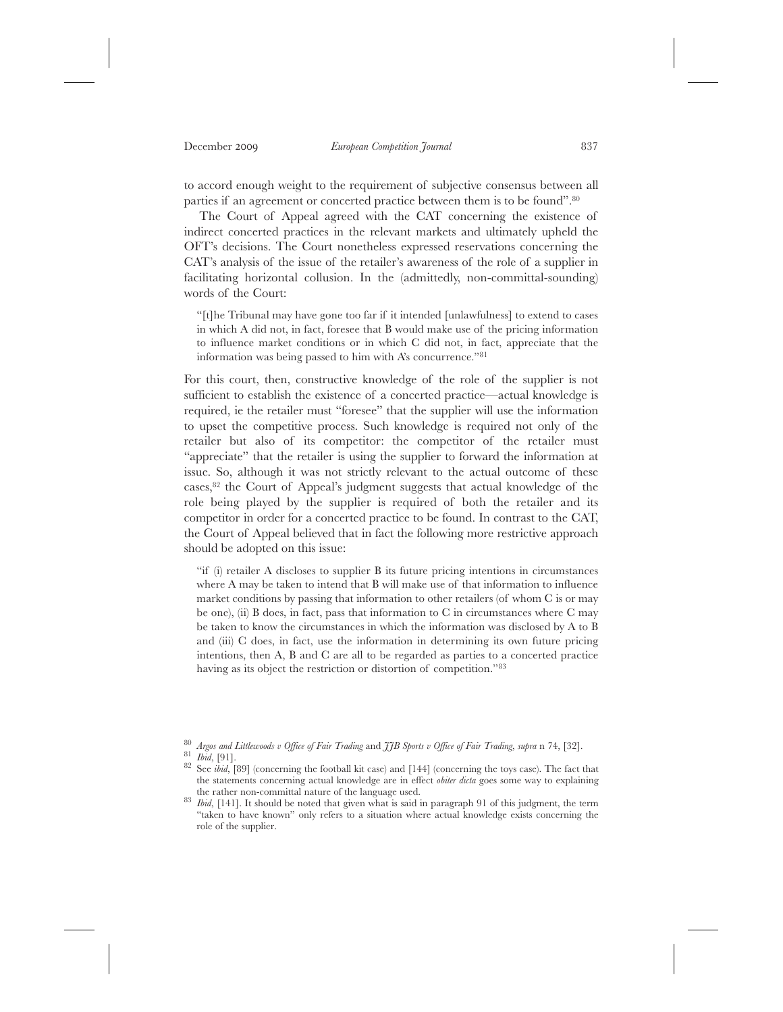to accord enough weight to the requirement of subjective consensus between all parties if an agreement or concerted practice between them is to be found".<sup>80</sup>

The Court of Appeal agreed with the CAT concerning the existence of indirect concerted practices in the relevant markets and ultimately upheld the OFT's decisions. The Court nonetheless expressed reservations concerning the CAT's analysis of the issue of the retailer's awareness of the role of a supplier in facilitating horizontal collusion. In the (admittedly, non-committal-sounding) words of the Court.

"[t]he Tribunal may have gone too far if it intended [unlawfulness] to extend to cases in which A did not, in fact, foresee that B would make use of the pricing information to influence market conditions or in which C did not, in fact, appreciate that the information was being passed to him with A's concurrence."<sup>81</sup>

For this court, then, constructive knowledge of the role of the supplier is not sufficient to establish the existence of a concerted practice—actual knowledge is required, ie the retailer must "foresee" that the supplier will use the information to upset the competitive process. Such knowledge is required not only of the retailer but also of its competitor: the competitor of the retailer must "appreciate" that the retailer is using the supplier to forward the information at issue. So, although it was not strictly relevant to the actual outcome of these cases,<sup>82</sup> the Court of Appeal's judgment suggests that actual knowledge of the role being played by the supplier is required of both the retailer and its competitor in order for a concerted practice to be found. In contrast to the CAT, the Court of Appeal believed that in fact the following more restrictive approach should be adopted on this issue:

"if (i) retailer A discloses to supplier B its future pricing intentions in circumstances where A may be taken to intend that B will make use of that information to influence market conditions by passing that information to other retailers (of whom C is or may be one), (ii) B does, in fact, pass that information to C in circumstances where C may be taken to know the circumstances in which the information was disclosed by A to B and (iii) C does, in fact, use the information in determining its own future pricing intentions, then A, B and C are all to be regarded as parties to a concerted practice having as its object the restriction or distortion of competition."83

<sup>&</sup>lt;sup>80</sup> Argos and Littlewoods v Office of Fair Trading and *JJB* Sports v Office of Fair Trading, supra n 74, [32].

 $81$  *Ibid*, [91].

<sup>&</sup>lt;sup>82</sup> See *ibid*, [89] (concerning the football kit case) and [144] (concerning the toys case). The fact that the statements concerning actual knowledge are in effect *obiter dicta* goes some way to explaining the rather non-committal nature of the language used.

 $83\,$ Ibid, [141]. It should be noted that given what is said in paragraph 91 of this judgment, the term "taken to have known" only refers to a situation where actual knowledge exists concerning the role of the supplier.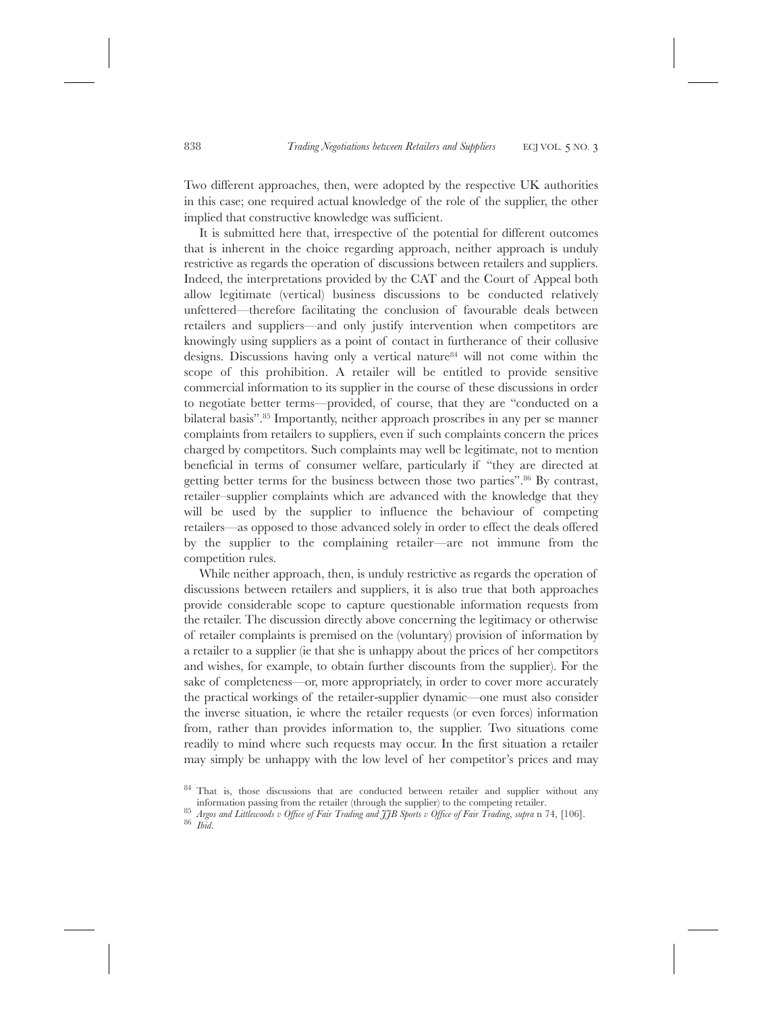Two different approaches, then, were adopted by the respective UK authorities in this case; one required actual knowledge of the role of the supplier, the other implied that constructive knowledge was sufficient.

It is submitted here that, irrespective of the potential for different outcomes that is inherent in the choice regarding approach, neither approach is unduly restrictive as regards the operation of discussions between retailers and suppliers. Indeed, the interpretations provided by the CAT and the Court of Appeal both allow legitimate (vertical) business discussions to be conducted relatively unfettered—therefore facilitating the conclusion of favourable deals between retailers and suppliers—and only justify intervention when competitors are knowingly using suppliers as a point of contact in furtherance of their collusive designs. Discussions having only a vertical nature<sup>84</sup> will not come within the scope of this prohibition. A retailer will be entitled to provide sensitive commercial information to its supplier in the course of these discussions in order to negotiate better terms—provided, of course, that they are "conducted on a bilateral basis".<sup>85</sup> Importantly, neither approach proscribes in any per se manner complaints from retailers to suppliers, even if such complaints concern the prices charged by competitors. Such complaints may well be legitimate, not to mention beneficial in terms of consumer welfare, particularly if "they are directed at getting better terms for the business between those two parties".<sup>86</sup> By contrast, retailer-supplier complaints which are advanced with the knowledge that they will be used by the supplier to influence the behaviour of competing retailers-as opposed to those advanced solely in order to effect the deals offered by the supplier to the complaining retailer-are not immune from the competition rules.

While neither approach, then, is unduly restrictive as regards the operation of discussions between retailers and suppliers, it is also true that both approaches provide considerable scope to capture questionable information requests from the retailer. The discussion directly above concerning the legitimacy or otherwise of retailer complaints is premised on the (voluntary) provision of information by a retailer to a supplier (ie that she is unhappy about the prices of her competitors and wishes, for example, to obtain further discounts from the supplier). For the sake of completeness—or, more appropriately, in order to cover more accurately the practical workings of the retailer-supplier dynamic—one must also consider the inverse situation, ie where the retailer requests (or even forces) information from, rather than provides information to, the supplier. Two situations come readily to mind where such requests may occur. In the first situation a retailer may simply be unhappy with the low level of her competitor's prices and may

<sup>84</sup> That is, those discussions that are conducted between retailer and supplier without any information passing from the retailer (through the supplier) to the competing retailer.

<sup>85</sup> Argos and Littlewoods v Office of Fair Trading and *JJB* Sports v Office of Fair Trading, supra n 74, [106].  $86$  *Ibid.*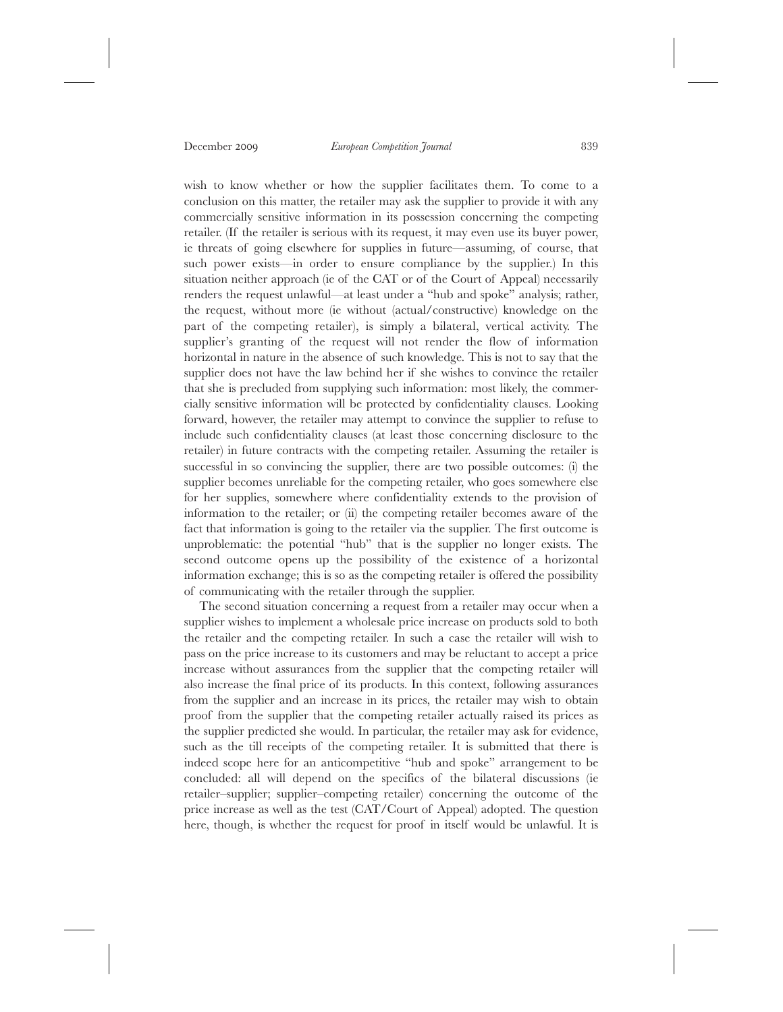wish to know whether or how the supplier facilitates them. To come to a conclusion on this matter, the retailer may ask the supplier to provide it with any commercially sensitive information in its possession concerning the competing retailer. (If the retailer is serious with its request, it may even use its buyer power, ie threats of going elsewhere for supplies in future—assuming, of course, that such power exists—in order to ensure compliance by the supplier.) In this situation neither approach (ie of the CAT or of the Court of Appeal) necessarily renders the request unlawful—at least under a "hub and spoke" analysis; rather, the request, without more (ie without (actual/constructive) knowledge on the part of the competing retailer), is simply a bilateral, vertical activity. The supplier's granting of the request will not render the flow of information horizontal in nature in the absence of such knowledge. This is not to say that the supplier does not have the law behind her if she wishes to convince the retailer that she is precluded from supplying such information: most likely, the commercially sensitive information will be protected by confidentiality clauses. Looking forward, however, the retailer may attempt to convince the supplier to refuse to include such confidentiality clauses (at least those concerning disclosure to the retailer) in future contracts with the competing retailer. Assuming the retailer is successful in so convincing the supplier, there are two possible outcomes: (i) the supplier becomes unreliable for the competing retailer, who goes somewhere else for her supplies, somewhere where confidentiality extends to the provision of information to the retailer; or (ii) the competing retailer becomes aware of the fact that information is going to the retailer via the supplier. The first outcome is unproblematic: the potential "hub" that is the supplier no longer exists. The second outcome opens up the possibility of the existence of a horizontal information exchange; this is so as the competing retailer is offered the possibility of communicating with the retailer through the supplier.

The second situation concerning a request from a retailer may occur when a supplier wishes to implement a wholesale price increase on products sold to both the retailer and the competing retailer. In such a case the retailer will wish to pass on the price increase to its customers and may be reluctant to accept a price increase without assurances from the supplier that the competing retailer will also increase the final price of its products. In this context, following assurances from the supplier and an increase in its prices, the retailer may wish to obtain proof from the supplier that the competing retailer actually raised its prices as the supplier predicted she would. In particular, the retailer may ask for evidence, such as the till receipts of the competing retailer. It is submitted that there is indeed scope here for an anticompetitive "hub and spoke" arrangement to be concluded: all will depend on the specifics of the bilateral discussions (ie retailer-supplier; supplier-competing retailer) concerning the outcome of the price increase as well as the test (CAT/Court of Appeal) adopted. The question here, though, is whether the request for proof in itself would be unlawful. It is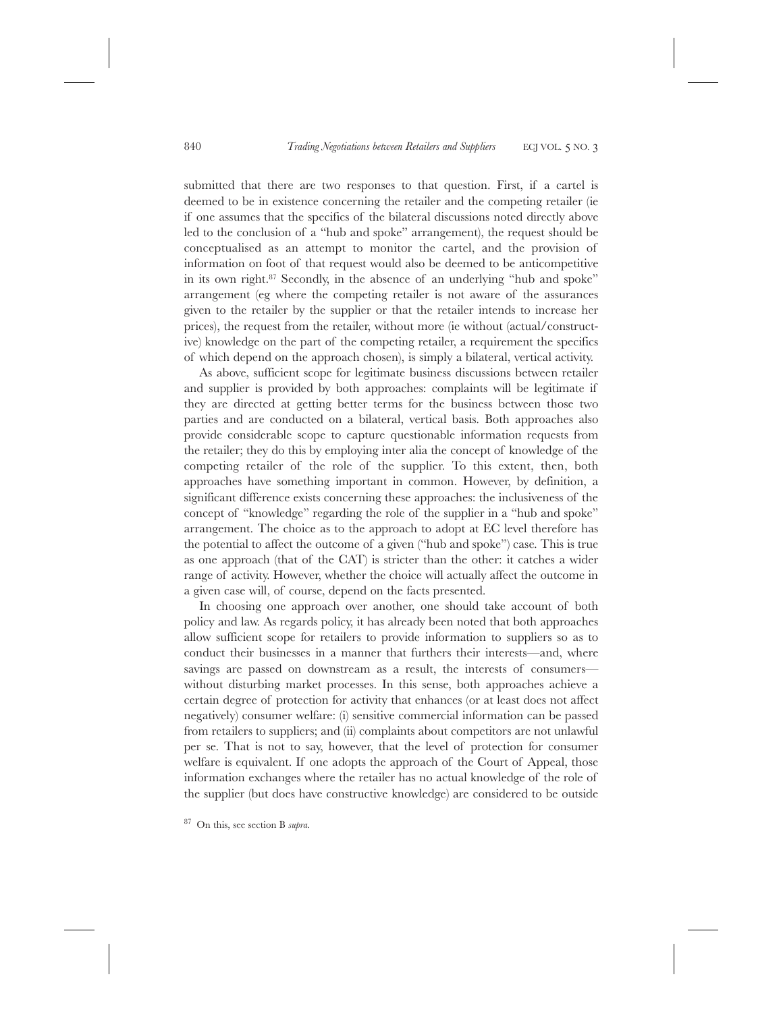submitted that there are two responses to that question. First, if a cartel is deemed to be in existence concerning the retailer and the competing retailer (ie if one assumes that the specifics of the bilateral discussions noted directly above led to the conclusion of a "hub and spoke" arrangement), the request should be conceptualised as an attempt to monitor the cartel, and the provision of information on foot of that request would also be deemed to be anticompetitive in its own right.<sup>87</sup> Secondly, in the absence of an underlying "hub and spoke" arrangement (eg where the competing retailer is not aware of the assurances given to the retailer by the supplier or that the retailer intends to increase her prices), the request from the retailer, without more (ie without (actual/constructive) knowledge on the part of the competing retailer, a requirement the specifics of which depend on the approach chosen), is simply a bilateral, vertical activity.

As above, sufficient scope for legitimate business discussions between retailer and supplier is provided by both approaches: complaints will be legitimate if they are directed at getting better terms for the business between those two parties and are conducted on a bilateral, vertical basis. Both approaches also provide considerable scope to capture questionable information requests from the retailer; they do this by employing inter alia the concept of knowledge of the competing retailer of the role of the supplier. To this extent, then, both approaches have something important in common. However, by definition, a significant difference exists concerning these approaches: the inclusiveness of the concept of "knowledge" regarding the role of the supplier in a "hub and spoke" arrangement. The choice as to the approach to adopt at EC level therefore has the potential to affect the outcome of a given ("hub and spoke") case. This is true as one approach (that of the CAT) is stricter than the other: it catches a wider range of activity. However, whether the choice will actually affect the outcome in a given case will, of course, depend on the facts presented.

In choosing one approach over another, one should take account of both policy and law. As regards policy, it has already been noted that both approaches allow sufficient scope for retailers to provide information to suppliers so as to conduct their businesses in a manner that furthers their interests—and, where savings are passed on downstream as a result, the interests of consumerswithout disturbing market processes. In this sense, both approaches achieve a certain degree of protection for activity that enhances (or at least does not affect negatively) consumer welfare: (i) sensitive commercial information can be passed from retailers to suppliers; and (ii) complaints about competitors are not unlawful per se. That is not to say, however, that the level of protection for consumer welfare is equivalent. If one adopts the approach of the Court of Appeal, those information exchanges where the retailer has no actual knowledge of the role of the supplier (but does have constructive knowledge) are considered to be outside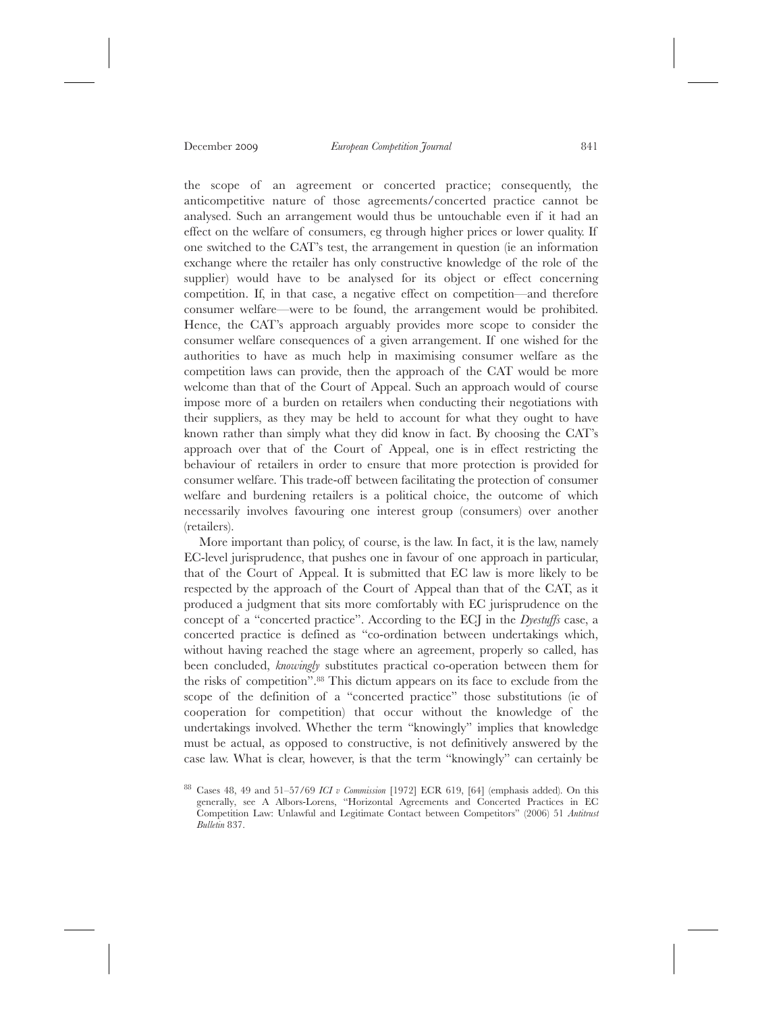the scope of an agreement or concerted practice; consequently, the anticompetitive nature of those agreements/concerted practice cannot be analysed. Such an arrangement would thus be untouchable even if it had an effect on the welfare of consumers, eg through higher prices or lower quality. If one switched to the CAT's test, the arrangement in question (ie an information exchange where the retailer has only constructive knowledge of the role of the supplier) would have to be analysed for its object or effect concerning competition. If, in that case, a negative effect on competition-and therefore consumer welfare—were to be found, the arrangement would be prohibited. Hence, the CAT's approach arguably provides more scope to consider the consumer welfare consequences of a given arrangement. If one wished for the authorities to have as much help in maximising consumer welfare as the competition laws can provide, then the approach of the CAT would be more welcome than that of the Court of Appeal. Such an approach would of course impose more of a burden on retailers when conducting their negotiations with their suppliers, as they may be held to account for what they ought to have known rather than simply what they did know in fact. By choosing the CAT's approach over that of the Court of Appeal, one is in effect restricting the behaviour of retailers in order to ensure that more protection is provided for consumer welfare. This trade-off between facilitating the protection of consumer welfare and burdening retailers is a political choice, the outcome of which necessarily involves favouring one interest group (consumers) over another (retailers).

More important than policy, of course, is the law. In fact, it is the law, namely EC-level jurisprudence, that pushes one in favour of one approach in particular, that of the Court of Appeal. It is submitted that EC law is more likely to be respected by the approach of the Court of Appeal than that of the CAT, as it produced a judgment that sits more comfortably with EC jurisprudence on the concept of a "concerted practice". According to the ECJ in the Dyestuffs case, a concerted practice is defined as "co-ordination between undertakings which, without having reached the stage where an agreement, properly so called, has been concluded, knowingly substitutes practical co-operation between them for the risks of competition".<sup>88</sup> This dictum appears on its face to exclude from the scope of the definition of a "concerted practice" those substitutions (ie of cooperation for competition) that occur without the knowledge of the undertakings involved. Whether the term "knowingly" implies that knowledge must be actual, as opposed to constructive, is not definitively answered by the case law. What is clear, however, is that the term "knowingly" can certainly be

 $^{88}$  Cases 48, 49 and 51-57/69 ICI v Commission [1972] ECR 619, [64] (emphasis added). On this generally, see A Albors-Lorens, "Horizontal Agreements and Concerted Practices in EC Competition Law: Unlawful and Legitimate Contact between Competitors" (2006) 51 Antitrust Bulletin 837.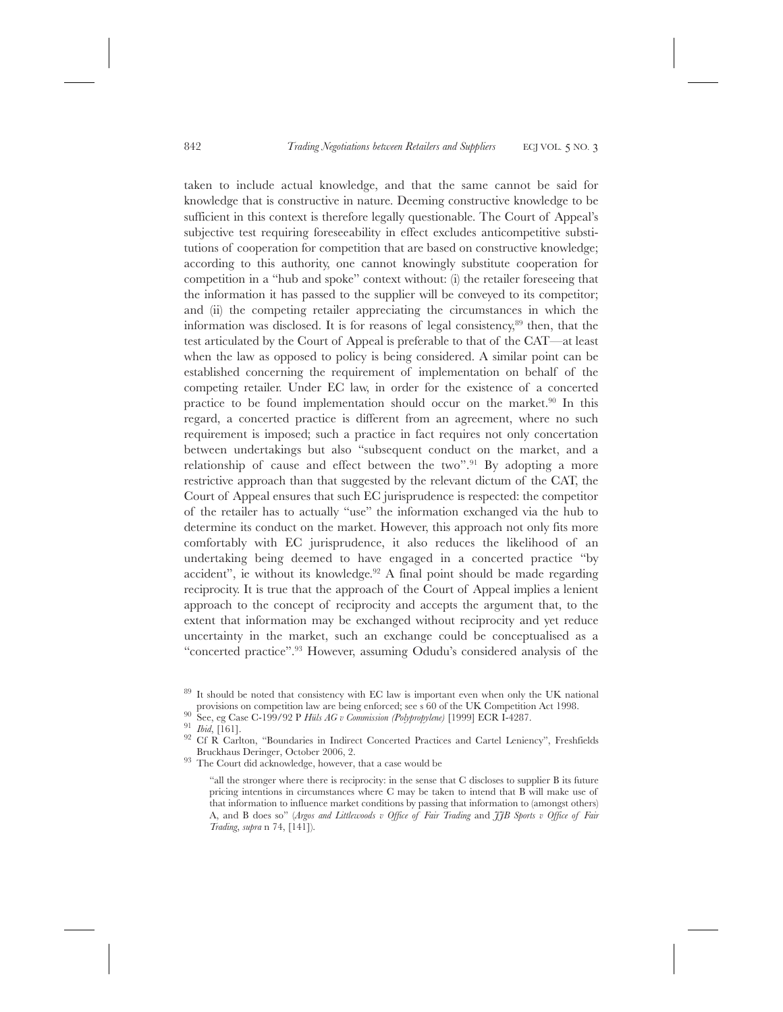taken to include actual knowledge, and that the same cannot be said for knowledge that is constructive in nature. Deeming constructive knowledge to be sufficient in this context is therefore legally questionable. The Court of Appeal's subjective test requiring foreseeability in effect excludes anticompetitive substitutions of cooperation for competition that are based on constructive knowledge; according to this authority, one cannot knowingly substitute cooperation for competition in a "hub and spoke" context without: (i) the retailer foreseeing that the information it has passed to the supplier will be conveyed to its competitor; and (ii) the competing retailer appreciating the circumstances in which the information was disclosed. It is for reasons of legal consistency,<sup>89</sup> then, that the test articulated by the Court of Appeal is preferable to that of the CAT—at least when the law as opposed to policy is being considered. A similar point can be established concerning the requirement of implementation on behalf of the competing retailer. Under EC law, in order for the existence of a concerted practice to be found implementation should occur on the market.<sup>90</sup> In this regard, a concerted practice is different from an agreement, where no such requirement is imposed; such a practice in fact requires not only concertation between undertakings but also "subsequent conduct on the market, and a relationship of cause and effect between the two".<sup>91</sup> By adopting a more restrictive approach than that suggested by the relevant dictum of the CAT, the Court of Appeal ensures that such EC jurisprudence is respected: the competitor of the retailer has to actually "use" the information exchanged via the hub to determine its conduct on the market. However, this approach not only fits more comfortably with EC jurisprudence, it also reduces the likelihood of an undertaking being deemed to have engaged in a concerted practice "by accident", ie without its knowledge.<sup>92</sup> A final point should be made regarding reciprocity. It is true that the approach of the Court of Appeal implies a lenient approach to the concept of reciprocity and accepts the argument that, to the extent that information may be exchanged without reciprocity and yet reduce uncertainty in the market, such an exchange could be conceptualised as a "concerted practice".<sup>93</sup> However, assuming Odudu's considered analysis of the

<sup>89</sup> It should be noted that consistency with EC law is important even when only the UK national provisions on competition law are being enforced; see s 60 of the UK Competition Act 1998. 90

See, eg Case C-199/92 P Hüls AG v Commission (Polypropylene) [1999] ECR I-4287.

 $91$  *Ibid*, [161].

<sup>92</sup> Cf R Carlton, "Boundaries in Indirect Concerted Practices and Cartel Leniency", Freshfields Bruckhaus Deringer, October 2006, 2.

 $93$  The Court did acknowledge, however, that a case would be

<sup>&</sup>quot;all the stronger where there is reciprocity: in the sense that C discloses to supplier B its future pricing intentions in circumstances where C may be taken to intend that B will make use of that information to influence market conditions by passing that information to (amongst others) A, and B does so" (Argos and Littlewoods v Office of Fair Trading and JJB Sports v Office of Fair *Trading, supra n* 74, [141]).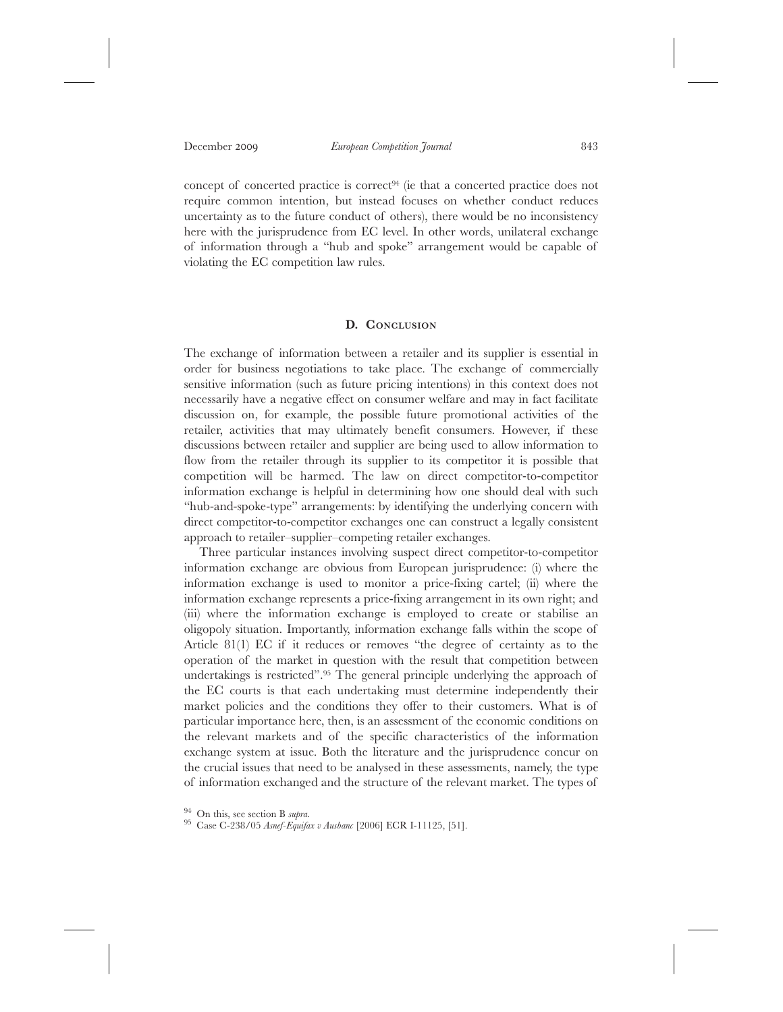concept of concerted practice is correct<sup>94</sup> (ie that a concerted practice does not require common intention, but instead focuses on whether conduct reduces uncertainty as to the future conduct of others), there would be no inconsistency here with the jurisprudence from EC level. In other words, unilateral exchange of information through a "hub and spoke" arrangement would be capable of violating the EC competition law rules.

#### D. CONCLUSION

The exchange of information between a retailer and its supplier is essential in order for business negotiations to take place. The exchange of commercially sensitive information (such as future pricing intentions) in this context does not necessarily have a negative effect on consumer welfare and may in fact facilitate discussion on, for example, the possible future promotional activities of the retailer, activities that may ultimately benefit consumers. However, if these discussions between retailer and supplier are being used to allow information to flow from the retailer through its supplier to its competitor it is possible that competition will be harmed. The law on direct competitor-to-competitor information exchange is helpful in determining how one should deal with such "hub-and-spoke-type" arrangements: by identifying the underlying concern with direct competitor-to-competitor exchanges one can construct a legally consistent approach to retailer-supplier-competing retailer exchanges.

Three particular instances involving suspect direct competitor-to-competitor information exchange are obvious from European jurisprudence: (i) where the information exchange is used to monitor a price-fixing cartel; (ii) where the information exchange represents a price-fixing arrangement in its own right; and (iii) where the information exchange is employed to create or stabilise an oligopoly situation. Importantly, information exchange falls within the scope of Article 81(1) EC if it reduces or removes "the degree of certainty as to the operation of the market in question with the result that competition between undertakings is restricted".<sup>95</sup> The general principle underlying the approach of the EC courts is that each undertaking must determine independently their market policies and the conditions they offer to their customers. What is of particular importance here, then, is an assessment of the economic conditions on the relevant markets and of the specific characteristics of the information exchange system at issue. Both the literature and the jurisprudence concur on the crucial issues that need to be analysed in these assessments, namely, the type of information exchanged and the structure of the relevant market. The types of

 $94$  On this, see section B supra.

<sup>&</sup>lt;sup>95</sup> Case C-238/05 Asnef-Equitax v Ausbanc [2006] ECR I-11125, [51].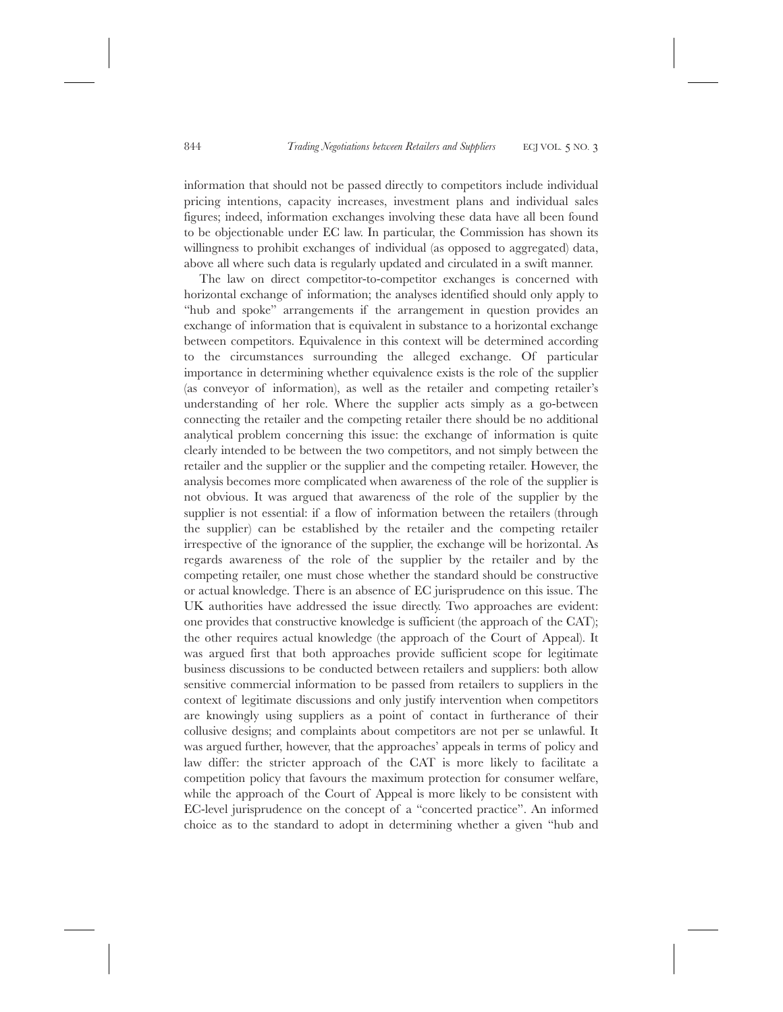information that should not be passed directly to competitors include individual pricing intentions, capacity increases, investment plans and individual sales figures; indeed, information exchanges involving these data have all been found to be objectionable under EC law. In particular, the Commission has shown its willingness to prohibit exchanges of individual (as opposed to aggregated) data, above all where such data is regularly updated and circulated in a swift manner.

The law on direct competitor-to-competitor exchanges is concerned with horizontal exchange of information; the analyses identified should only apply to "hub and spoke" arrangements if the arrangement in question provides an exchange of information that is equivalent in substance to a horizontal exchange between competitors. Equivalence in this context will be determined according to the circumstances surrounding the alleged exchange. Of particular importance in determining whether equivalence exists is the role of the supplier (as conveyor of information), as well as the retailer and competing retailer's understanding of her role. Where the supplier acts simply as a go-between connecting the retailer and the competing retailer there should be no additional analytical problem concerning this issue: the exchange of information is quite clearly intended to be between the two competitors, and not simply between the retailer and the supplier or the supplier and the competing retailer. However, the analysis becomes more complicated when awareness of the role of the supplier is not obvious. It was argued that awareness of the role of the supplier by the supplier is not essential: if a flow of information between the retailers (through the supplier) can be established by the retailer and the competing retailer irrespective of the ignorance of the supplier, the exchange will be horizontal. As regards awareness of the role of the supplier by the retailer and by the competing retailer, one must chose whether the standard should be constructive or actual knowledge. There is an absence of EC jurisprudence on this issue. The UK authorities have addressed the issue directly. Two approaches are evident: one provides that constructive knowledge is sufficient (the approach of the CAT); the other requires actual knowledge (the approach of the Court of Appeal). It was argued first that both approaches provide sufficient scope for legitimate business discussions to be conducted between retailers and suppliers: both allow sensitive commercial information to be passed from retailers to suppliers in the context of legitimate discussions and only justify intervention when competitors are knowingly using suppliers as a point of contact in furtherance of their collusive designs; and complaints about competitors are not per se unlawful. It was argued further, however, that the approaches' appeals in terms of policy and law differ: the stricter approach of the CAT is more likely to facilitate a competition policy that favours the maximum protection for consumer welfare, while the approach of the Court of Appeal is more likely to be consistent with EC-level jurisprudence on the concept of a "concerted practice". An informed choice as to the standard to adopt in determining whether a given "hub and